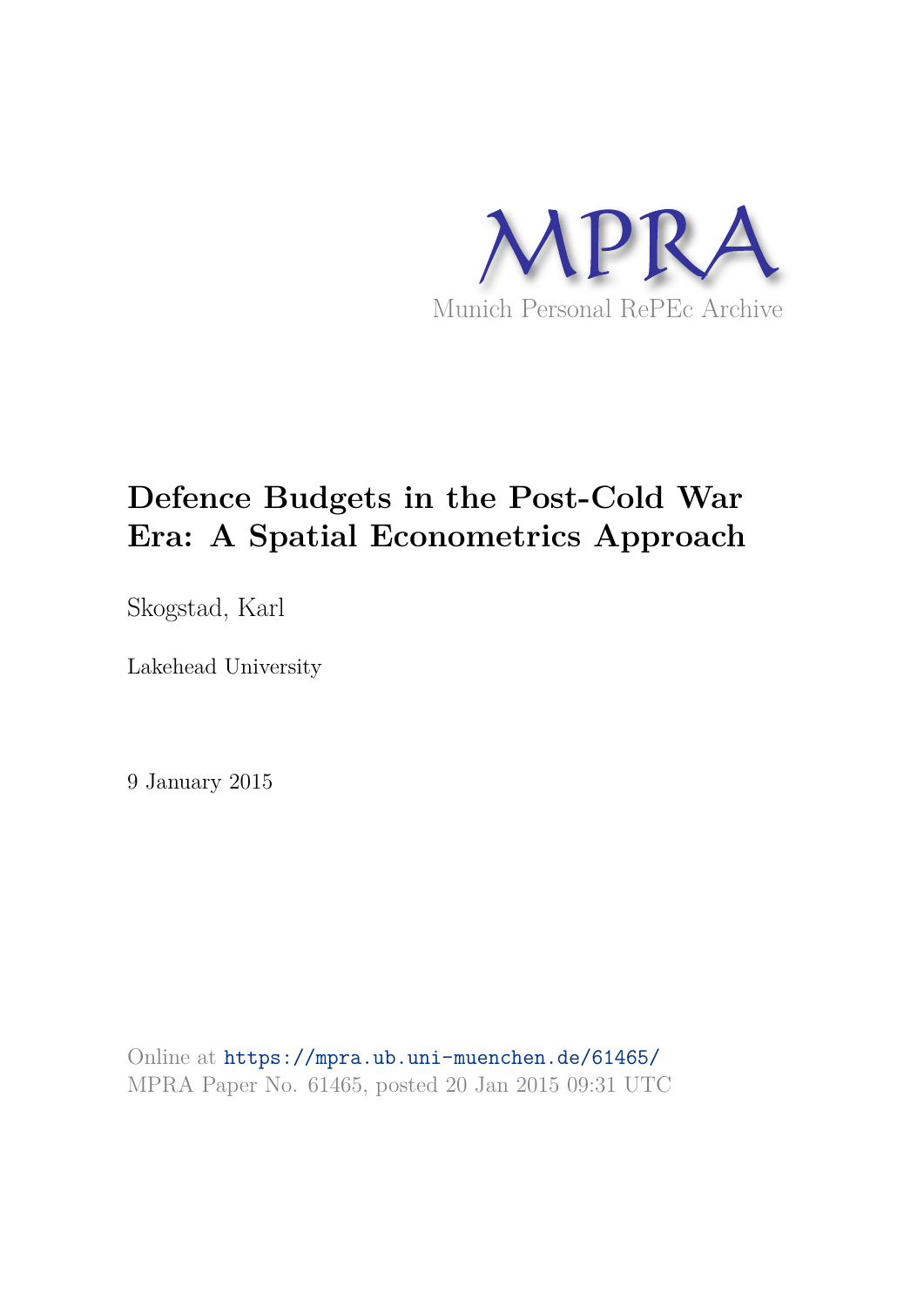

# **Defence Budgets in the Post-Cold War Era: A Spatial Econometrics Approach**

Skogstad, Karl

Lakehead University

9 January 2015

Online at https://mpra.ub.uni-muenchen.de/61465/ MPRA Paper No. 61465, posted 20 Jan 2015 09:31 UTC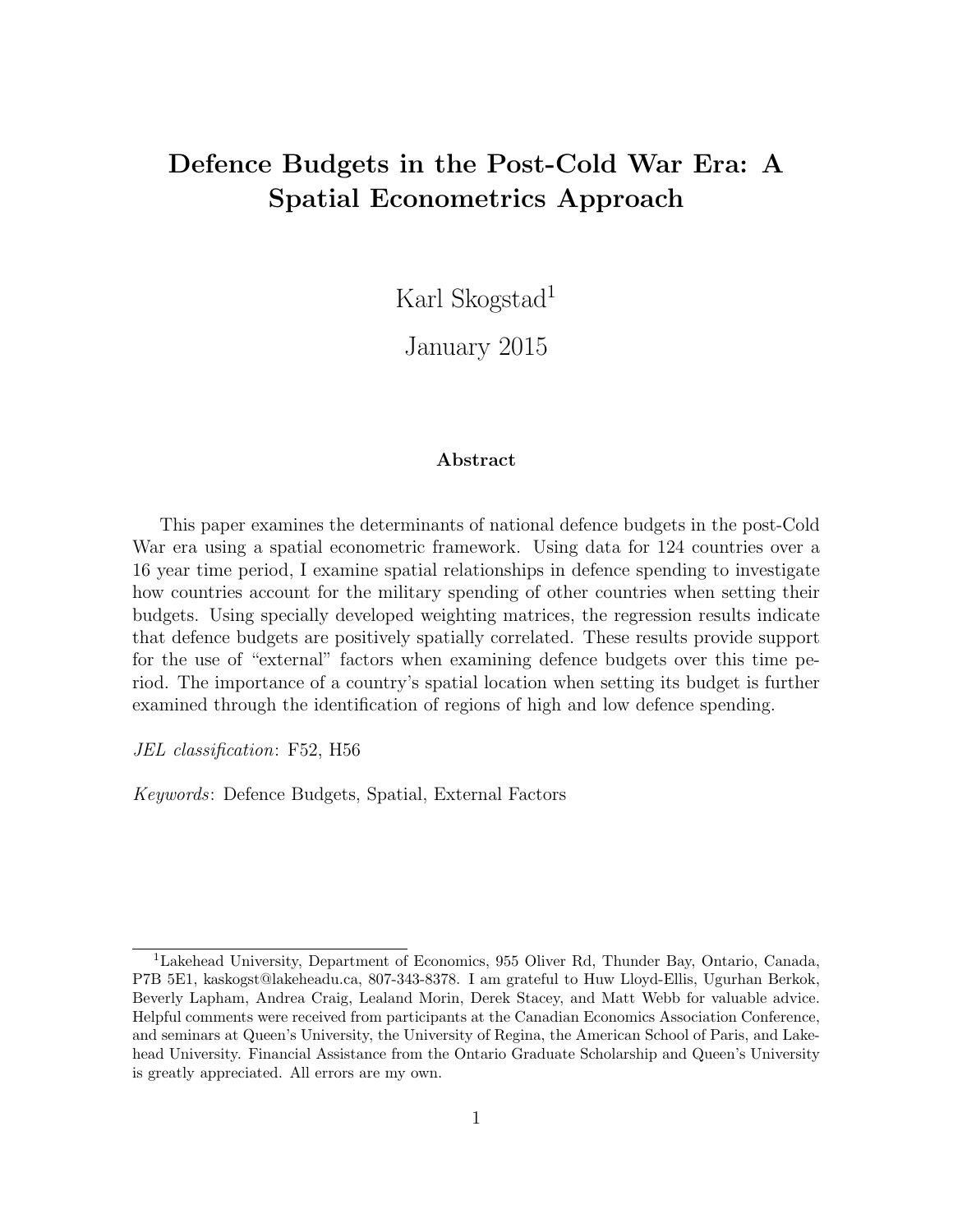## Defence Budgets in the Post-Cold War Era: A Spatial Econometrics Approach

Karl Skogstad<sup>1</sup>

January 2015

#### Abstract

This paper examines the determinants of national defence budgets in the post-Cold War era using a spatial econometric framework. Using data for 124 countries over a 16 year time period, I examine spatial relationships in defence spending to investigate how countries account for the military spending of other countries when setting their budgets. Using specially developed weighting matrices, the regression results indicate that defence budgets are positively spatially correlated. These results provide support for the use of "external" factors when examining defence budgets over this time period. The importance of a country's spatial location when setting its budget is further examined through the identification of regions of high and low defence spending.

JEL classification: F52, H56

Keywords: Defence Budgets, Spatial, External Factors

<sup>1</sup>Lakehead University, Department of Economics, 955 Oliver Rd, Thunder Bay, Ontario, Canada, P7B 5E1, kaskogst@lakeheadu.ca, 807-343-8378. I am grateful to Huw Lloyd-Ellis, Ugurhan Berkok, Beverly Lapham, Andrea Craig, Lealand Morin, Derek Stacey, and Matt Webb for valuable advice. Helpful comments were received from participants at the Canadian Economics Association Conference, and seminars at Queen's University, the University of Regina, the American School of Paris, and Lakehead University. Financial Assistance from the Ontario Graduate Scholarship and Queen's University is greatly appreciated. All errors are my own.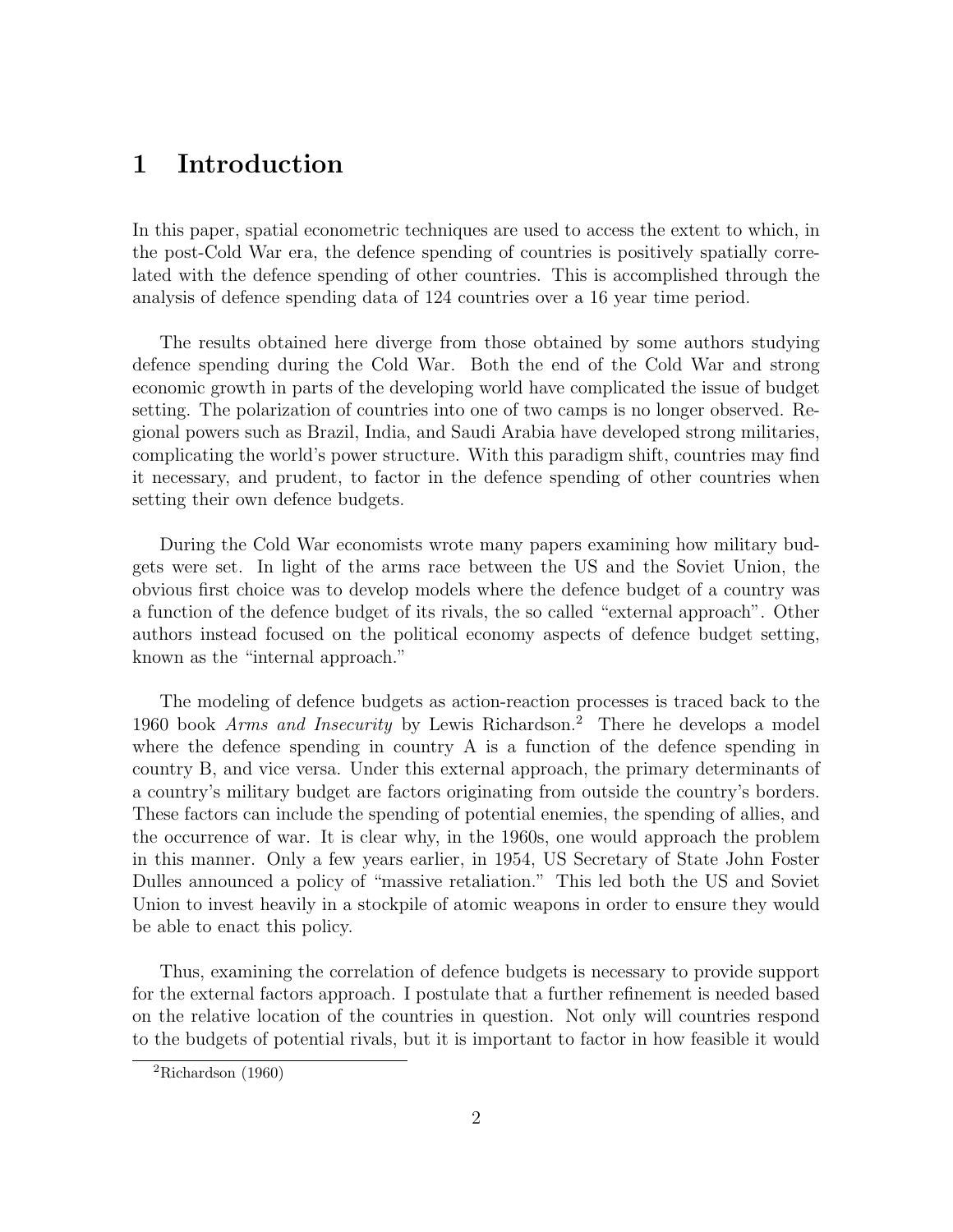### 1 Introduction

In this paper, spatial econometric techniques are used to access the extent to which, in the post-Cold War era, the defence spending of countries is positively spatially correlated with the defence spending of other countries. This is accomplished through the analysis of defence spending data of 124 countries over a 16 year time period.

The results obtained here diverge from those obtained by some authors studying defence spending during the Cold War. Both the end of the Cold War and strong economic growth in parts of the developing world have complicated the issue of budget setting. The polarization of countries into one of two camps is no longer observed. Regional powers such as Brazil, India, and Saudi Arabia have developed strong militaries, complicating the world's power structure. With this paradigm shift, countries may find it necessary, and prudent, to factor in the defence spending of other countries when setting their own defence budgets.

During the Cold War economists wrote many papers examining how military budgets were set. In light of the arms race between the US and the Soviet Union, the obvious first choice was to develop models where the defence budget of a country was a function of the defence budget of its rivals, the so called "external approach". Other authors instead focused on the political economy aspects of defence budget setting, known as the "internal approach."

The modeling of defence budgets as action-reaction processes is traced back to the 1960 book Arms and Insecurity by Lewis Richardson.<sup>2</sup> There he develops a model where the defence spending in country A is a function of the defence spending in country B, and vice versa. Under this external approach, the primary determinants of a country's military budget are factors originating from outside the country's borders. These factors can include the spending of potential enemies, the spending of allies, and the occurrence of war. It is clear why, in the 1960s, one would approach the problem in this manner. Only a few years earlier, in 1954, US Secretary of State John Foster Dulles announced a policy of "massive retaliation." This led both the US and Soviet Union to invest heavily in a stockpile of atomic weapons in order to ensure they would be able to enact this policy.

Thus, examining the correlation of defence budgets is necessary to provide support for the external factors approach. I postulate that a further refinement is needed based on the relative location of the countries in question. Not only will countries respond to the budgets of potential rivals, but it is important to factor in how feasible it would

<sup>2</sup>Richardson (1960)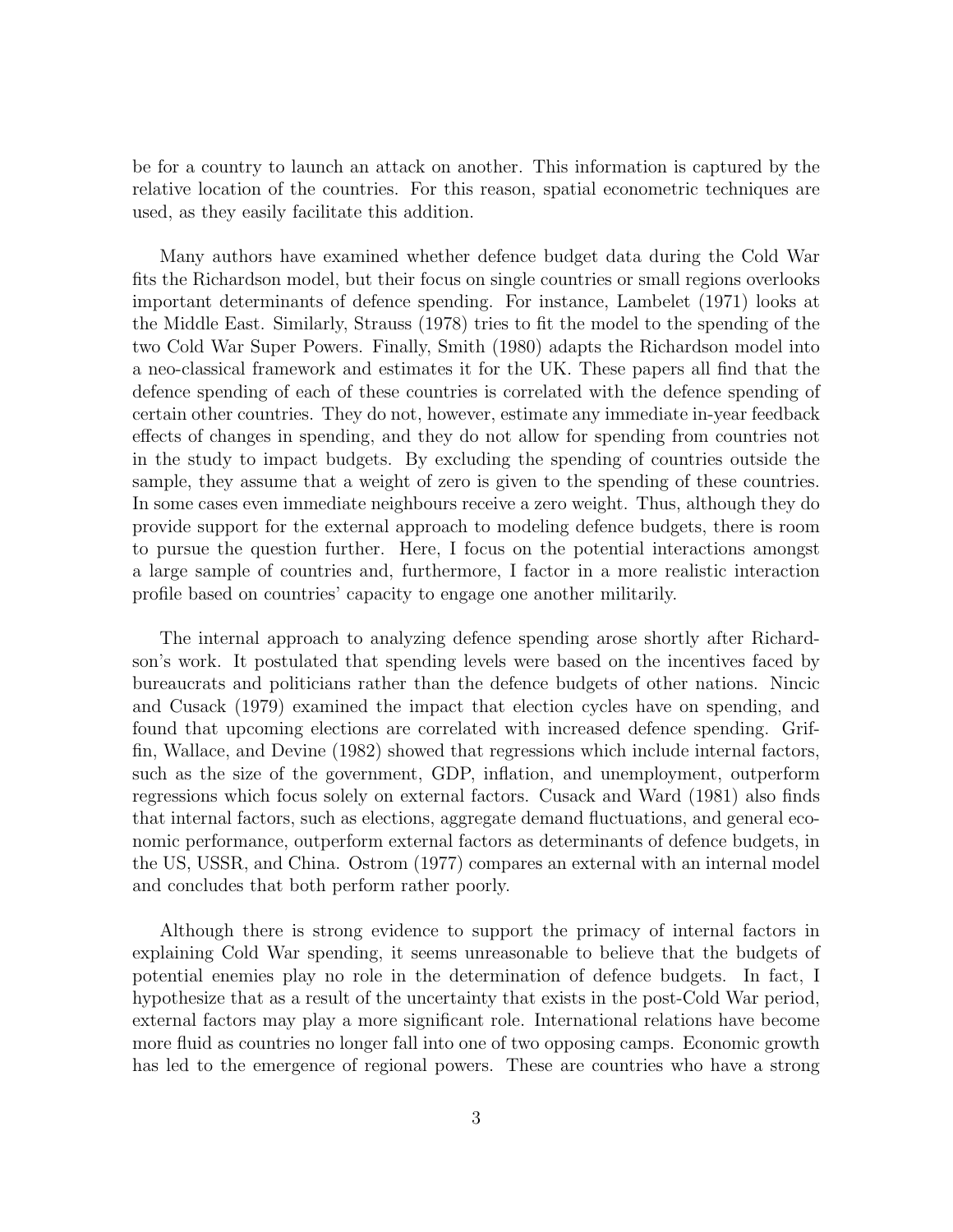be for a country to launch an attack on another. This information is captured by the relative location of the countries. For this reason, spatial econometric techniques are used, as they easily facilitate this addition.

Many authors have examined whether defence budget data during the Cold War fits the Richardson model, but their focus on single countries or small regions overlooks important determinants of defence spending. For instance, Lambelet (1971) looks at the Middle East. Similarly, Strauss (1978) tries to fit the model to the spending of the two Cold War Super Powers. Finally, Smith (1980) adapts the Richardson model into a neo-classical framework and estimates it for the UK. These papers all find that the defence spending of each of these countries is correlated with the defence spending of certain other countries. They do not, however, estimate any immediate in-year feedback effects of changes in spending, and they do not allow for spending from countries not in the study to impact budgets. By excluding the spending of countries outside the sample, they assume that a weight of zero is given to the spending of these countries. In some cases even immediate neighbours receive a zero weight. Thus, although they do provide support for the external approach to modeling defence budgets, there is room to pursue the question further. Here, I focus on the potential interactions amongst a large sample of countries and, furthermore, I factor in a more realistic interaction profile based on countries' capacity to engage one another militarily.

The internal approach to analyzing defence spending arose shortly after Richardson's work. It postulated that spending levels were based on the incentives faced by bureaucrats and politicians rather than the defence budgets of other nations. Nincic and Cusack (1979) examined the impact that election cycles have on spending, and found that upcoming elections are correlated with increased defence spending. Griffin, Wallace, and Devine (1982) showed that regressions which include internal factors, such as the size of the government, GDP, inflation, and unemployment, outperform regressions which focus solely on external factors. Cusack and Ward (1981) also finds that internal factors, such as elections, aggregate demand fluctuations, and general economic performance, outperform external factors as determinants of defence budgets, in the US, USSR, and China. Ostrom (1977) compares an external with an internal model and concludes that both perform rather poorly.

Although there is strong evidence to support the primacy of internal factors in explaining Cold War spending, it seems unreasonable to believe that the budgets of potential enemies play no role in the determination of defence budgets. In fact, I hypothesize that as a result of the uncertainty that exists in the post-Cold War period, external factors may play a more significant role. International relations have become more fluid as countries no longer fall into one of two opposing camps. Economic growth has led to the emergence of regional powers. These are countries who have a strong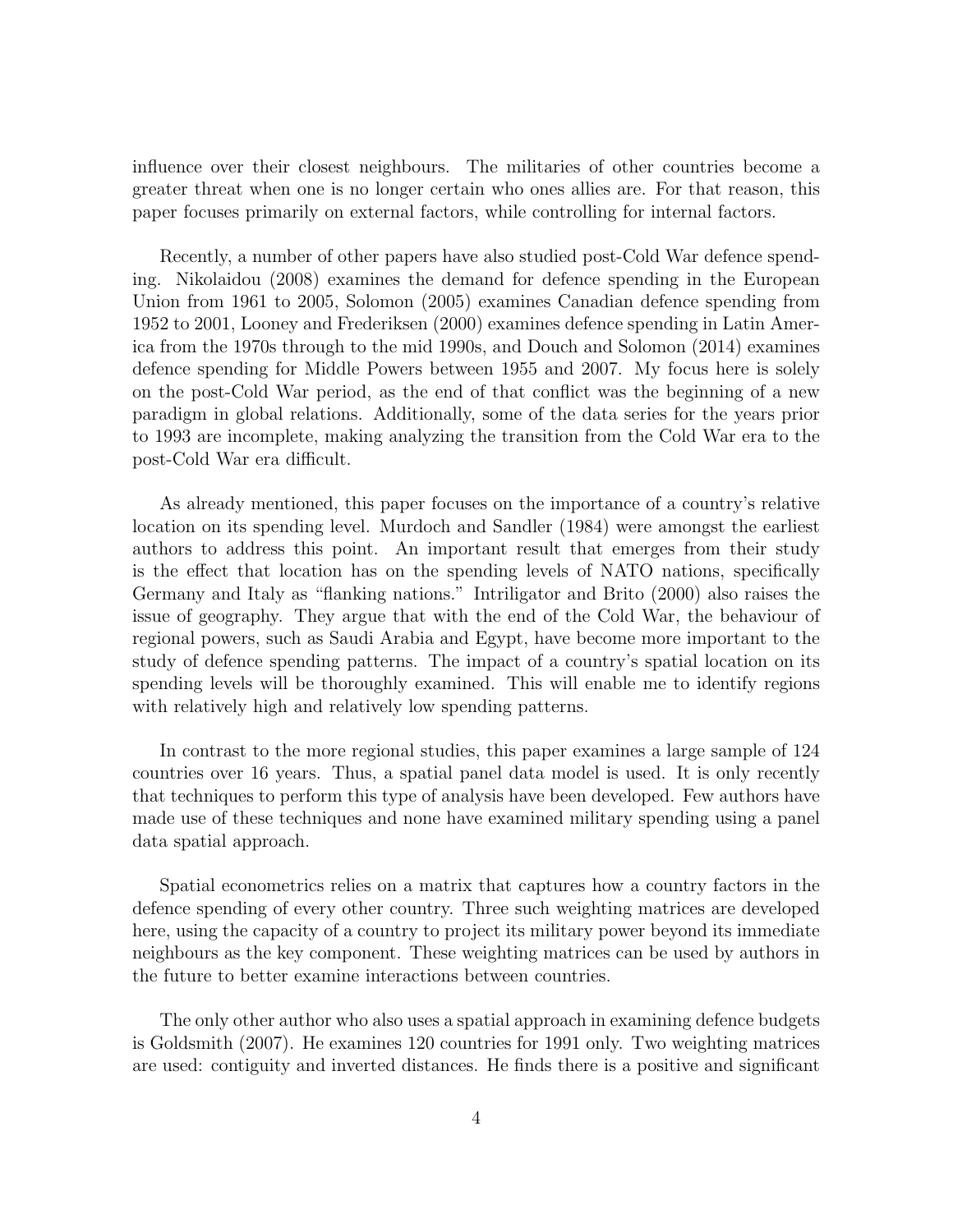influence over their closest neighbours. The militaries of other countries become a greater threat when one is no longer certain who ones allies are. For that reason, this paper focuses primarily on external factors, while controlling for internal factors.

Recently, a number of other papers have also studied post-Cold War defence spending. Nikolaidou (2008) examines the demand for defence spending in the European Union from 1961 to 2005, Solomon (2005) examines Canadian defence spending from 1952 to 2001, Looney and Frederiksen (2000) examines defence spending in Latin America from the 1970s through to the mid 1990s, and Douch and Solomon (2014) examines defence spending for Middle Powers between 1955 and 2007. My focus here is solely on the post-Cold War period, as the end of that conflict was the beginning of a new paradigm in global relations. Additionally, some of the data series for the years prior to 1993 are incomplete, making analyzing the transition from the Cold War era to the post-Cold War era difficult.

As already mentioned, this paper focuses on the importance of a country's relative location on its spending level. Murdoch and Sandler (1984) were amongst the earliest authors to address this point. An important result that emerges from their study is the effect that location has on the spending levels of NATO nations, specifically Germany and Italy as "flanking nations." Intriligator and Brito (2000) also raises the issue of geography. They argue that with the end of the Cold War, the behaviour of regional powers, such as Saudi Arabia and Egypt, have become more important to the study of defence spending patterns. The impact of a country's spatial location on its spending levels will be thoroughly examined. This will enable me to identify regions with relatively high and relatively low spending patterns.

In contrast to the more regional studies, this paper examines a large sample of 124 countries over 16 years. Thus, a spatial panel data model is used. It is only recently that techniques to perform this type of analysis have been developed. Few authors have made use of these techniques and none have examined military spending using a panel data spatial approach.

Spatial econometrics relies on a matrix that captures how a country factors in the defence spending of every other country. Three such weighting matrices are developed here, using the capacity of a country to project its military power beyond its immediate neighbours as the key component. These weighting matrices can be used by authors in the future to better examine interactions between countries.

The only other author who also uses a spatial approach in examining defence budgets is Goldsmith (2007). He examines 120 countries for 1991 only. Two weighting matrices are used: contiguity and inverted distances. He finds there is a positive and significant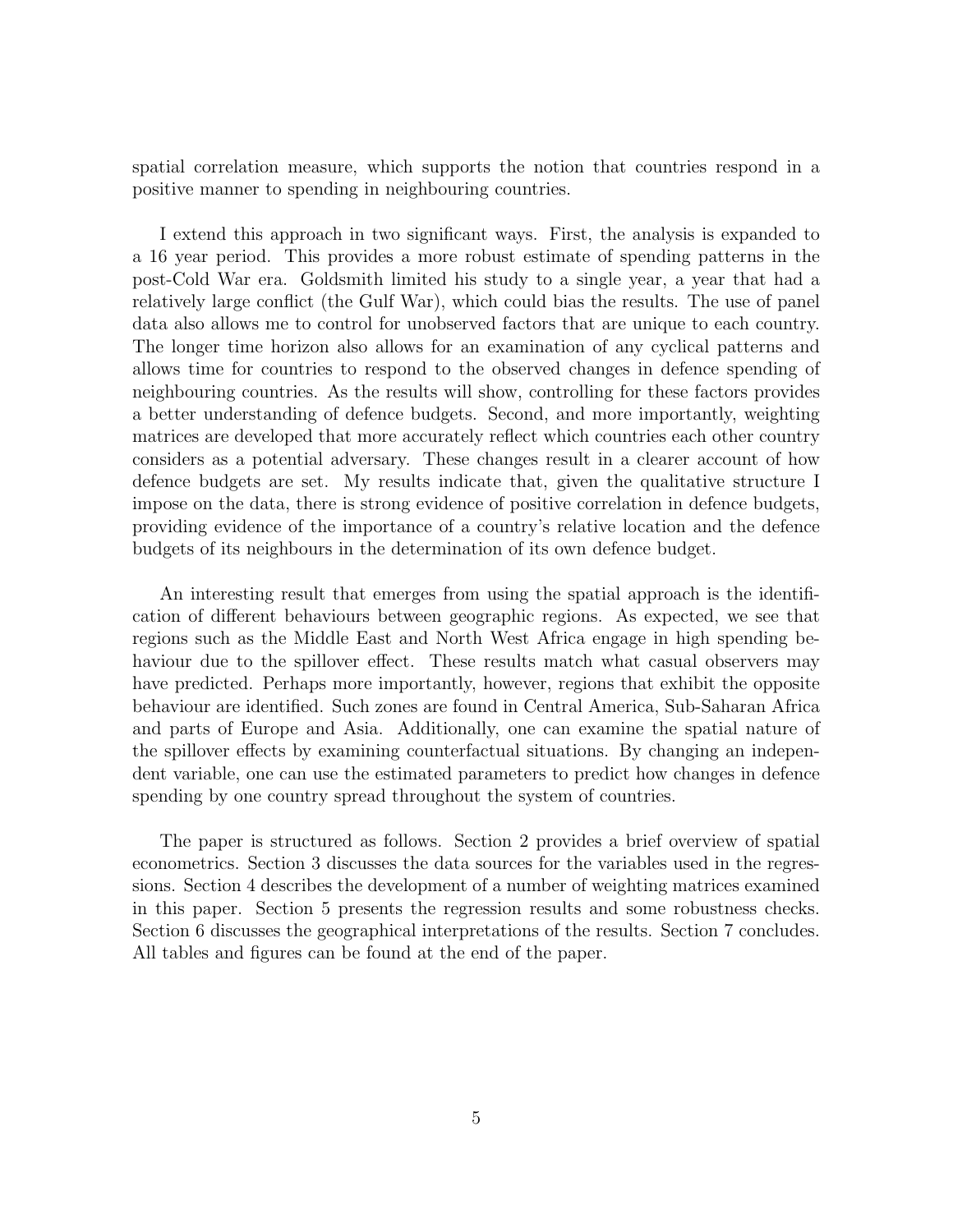spatial correlation measure, which supports the notion that countries respond in a positive manner to spending in neighbouring countries.

I extend this approach in two significant ways. First, the analysis is expanded to a 16 year period. This provides a more robust estimate of spending patterns in the post-Cold War era. Goldsmith limited his study to a single year, a year that had a relatively large conflict (the Gulf War), which could bias the results. The use of panel data also allows me to control for unobserved factors that are unique to each country. The longer time horizon also allows for an examination of any cyclical patterns and allows time for countries to respond to the observed changes in defence spending of neighbouring countries. As the results will show, controlling for these factors provides a better understanding of defence budgets. Second, and more importantly, weighting matrices are developed that more accurately reflect which countries each other country considers as a potential adversary. These changes result in a clearer account of how defence budgets are set. My results indicate that, given the qualitative structure I impose on the data, there is strong evidence of positive correlation in defence budgets, providing evidence of the importance of a country's relative location and the defence budgets of its neighbours in the determination of its own defence budget.

An interesting result that emerges from using the spatial approach is the identification of different behaviours between geographic regions. As expected, we see that regions such as the Middle East and North West Africa engage in high spending behaviour due to the spillover effect. These results match what casual observers may have predicted. Perhaps more importantly, however, regions that exhibit the opposite behaviour are identified. Such zones are found in Central America, Sub-Saharan Africa and parts of Europe and Asia. Additionally, one can examine the spatial nature of the spillover effects by examining counterfactual situations. By changing an independent variable, one can use the estimated parameters to predict how changes in defence spending by one country spread throughout the system of countries.

The paper is structured as follows. Section 2 provides a brief overview of spatial econometrics. Section 3 discusses the data sources for the variables used in the regressions. Section 4 describes the development of a number of weighting matrices examined in this paper. Section 5 presents the regression results and some robustness checks. Section 6 discusses the geographical interpretations of the results. Section 7 concludes. All tables and figures can be found at the end of the paper.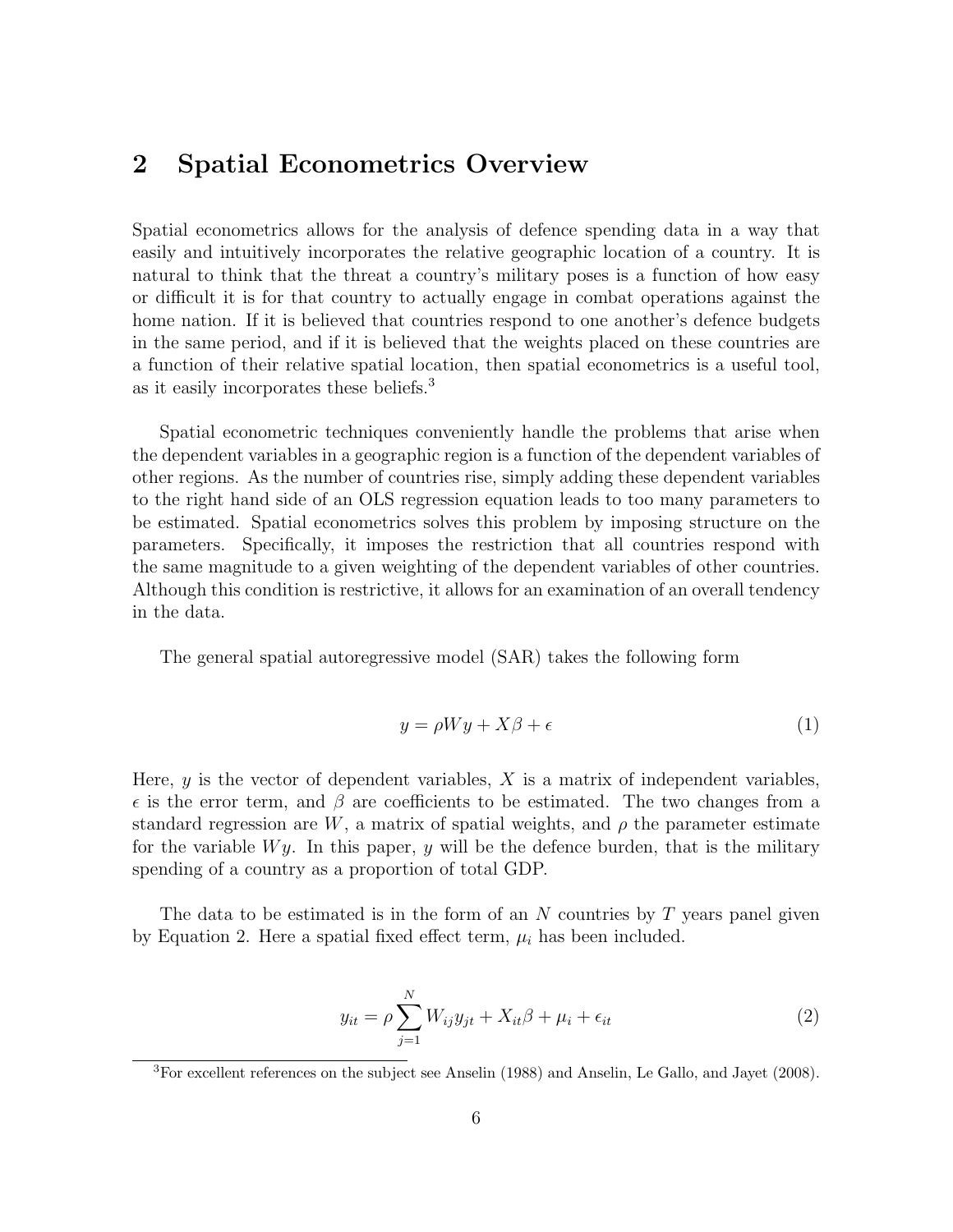### 2 Spatial Econometrics Overview

Spatial econometrics allows for the analysis of defence spending data in a way that easily and intuitively incorporates the relative geographic location of a country. It is natural to think that the threat a country's military poses is a function of how easy or difficult it is for that country to actually engage in combat operations against the home nation. If it is believed that countries respond to one another's defence budgets in the same period, and if it is believed that the weights placed on these countries are a function of their relative spatial location, then spatial econometrics is a useful tool, as it easily incorporates these beliefs.<sup>3</sup>

Spatial econometric techniques conveniently handle the problems that arise when the dependent variables in a geographic region is a function of the dependent variables of other regions. As the number of countries rise, simply adding these dependent variables to the right hand side of an OLS regression equation leads to too many parameters to be estimated. Spatial econometrics solves this problem by imposing structure on the parameters. Specifically, it imposes the restriction that all countries respond with the same magnitude to a given weighting of the dependent variables of other countries. Although this condition is restrictive, it allows for an examination of an overall tendency in the data.

The general spatial autoregressive model (SAR) takes the following form

$$
y = \rho Wy + X\beta + \epsilon \tag{1}
$$

Here,  $y$  is the vector of dependent variables,  $X$  is a matrix of independent variables,  $\epsilon$  is the error term, and  $\beta$  are coefficients to be estimated. The two changes from a standard regression are W, a matrix of spatial weights, and  $\rho$  the parameter estimate for the variable  $Wy$ . In this paper, y will be the defence burden, that is the military spending of a country as a proportion of total GDP.

The data to be estimated is in the form of an  $N$  countries by  $T$  years panel given by Equation 2. Here a spatial fixed effect term,  $\mu_i$  has been included.

$$
y_{it} = \rho \sum_{j=1}^{N} W_{ij} y_{jt} + X_{it} \beta + \mu_i + \epsilon_{it}
$$
 (2)

<sup>3</sup>For excellent references on the subject see Anselin (1988) and Anselin, Le Gallo, and Jayet (2008).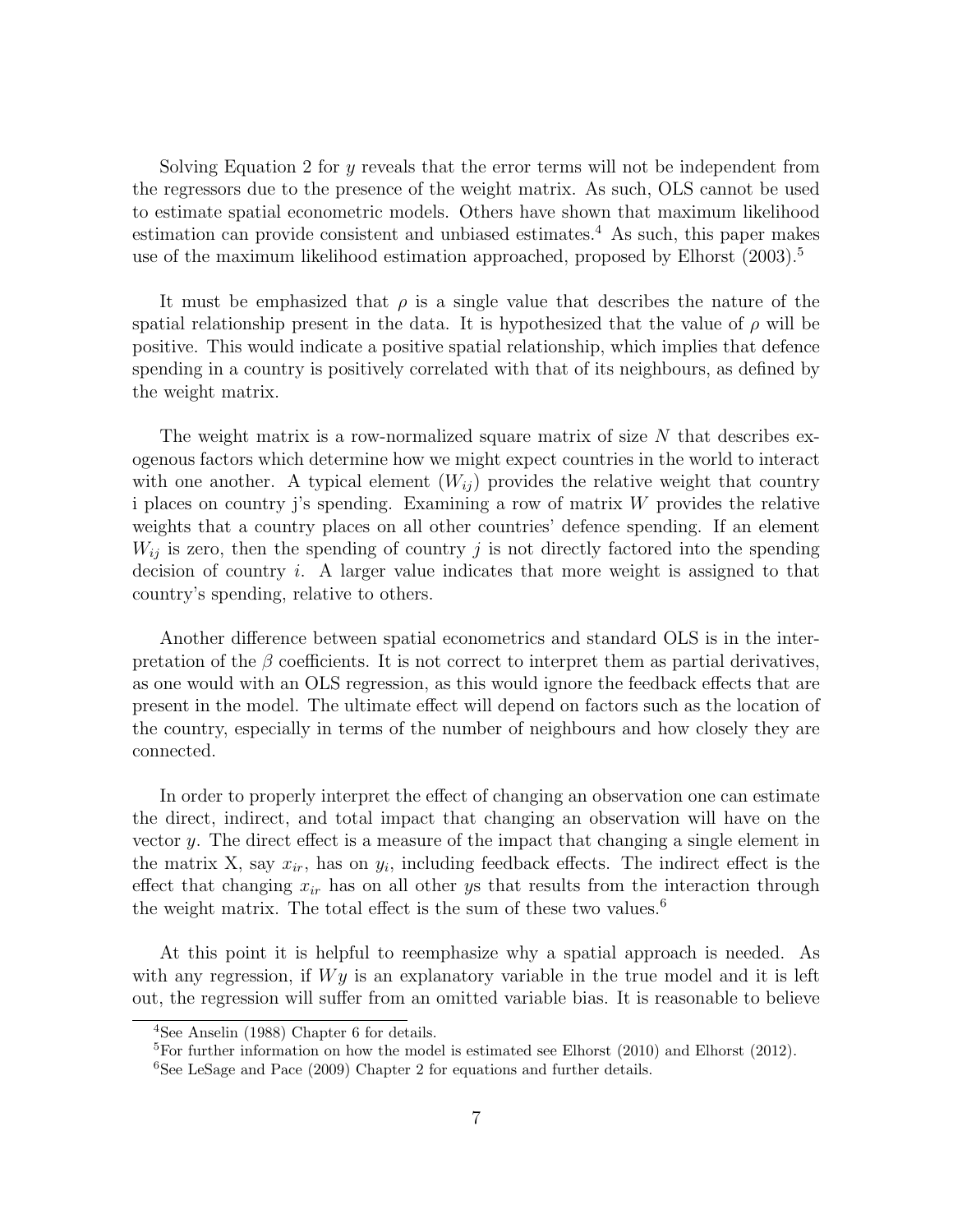Solving Equation 2 for y reveals that the error terms will not be independent from the regressors due to the presence of the weight matrix. As such, OLS cannot be used to estimate spatial econometric models. Others have shown that maximum likelihood estimation can provide consistent and unbiased estimates.<sup>4</sup> As such, this paper makes use of the maximum likelihood estimation approached, proposed by Elhorst (2003).<sup>5</sup>

It must be emphasized that  $\rho$  is a single value that describes the nature of the spatial relationship present in the data. It is hypothesized that the value of  $\rho$  will be positive. This would indicate a positive spatial relationship, which implies that defence spending in a country is positively correlated with that of its neighbours, as defined by the weight matrix.

The weight matrix is a row-normalized square matrix of size  $N$  that describes exogenous factors which determine how we might expect countries in the world to interact with one another. A typical element  $(W_{ij})$  provides the relative weight that country i places on country j's spending. Examining a row of matrix W provides the relative weights that a country places on all other countries' defence spending. If an element  $W_{ij}$  is zero, then the spending of country j is not directly factored into the spending decision of country i. A larger value indicates that more weight is assigned to that country's spending, relative to others.

Another difference between spatial econometrics and standard OLS is in the interpretation of the  $\beta$  coefficients. It is not correct to interpret them as partial derivatives, as one would with an OLS regression, as this would ignore the feedback effects that are present in the model. The ultimate effect will depend on factors such as the location of the country, especially in terms of the number of neighbours and how closely they are connected.

In order to properly interpret the effect of changing an observation one can estimate the direct, indirect, and total impact that changing an observation will have on the vector y. The direct effect is a measure of the impact that changing a single element in the matrix X, say  $x_{ir}$ , has on  $y_i$ , including feedback effects. The indirect effect is the effect that changing  $x_{ir}$  has on all other ys that results from the interaction through the weight matrix. The total effect is the sum of these two values.<sup>6</sup>

At this point it is helpful to reemphasize why a spatial approach is needed. As with any regression, if  $Wy$  is an explanatory variable in the true model and it is left out, the regression will suffer from an omitted variable bias. It is reasonable to believe

<sup>4</sup>See Anselin (1988) Chapter 6 for details.

<sup>&</sup>lt;sup>5</sup>For further information on how the model is estimated see Elhorst  $(2010)$  and Elhorst  $(2012)$ .

<sup>6</sup>See LeSage and Pace (2009) Chapter 2 for equations and further details.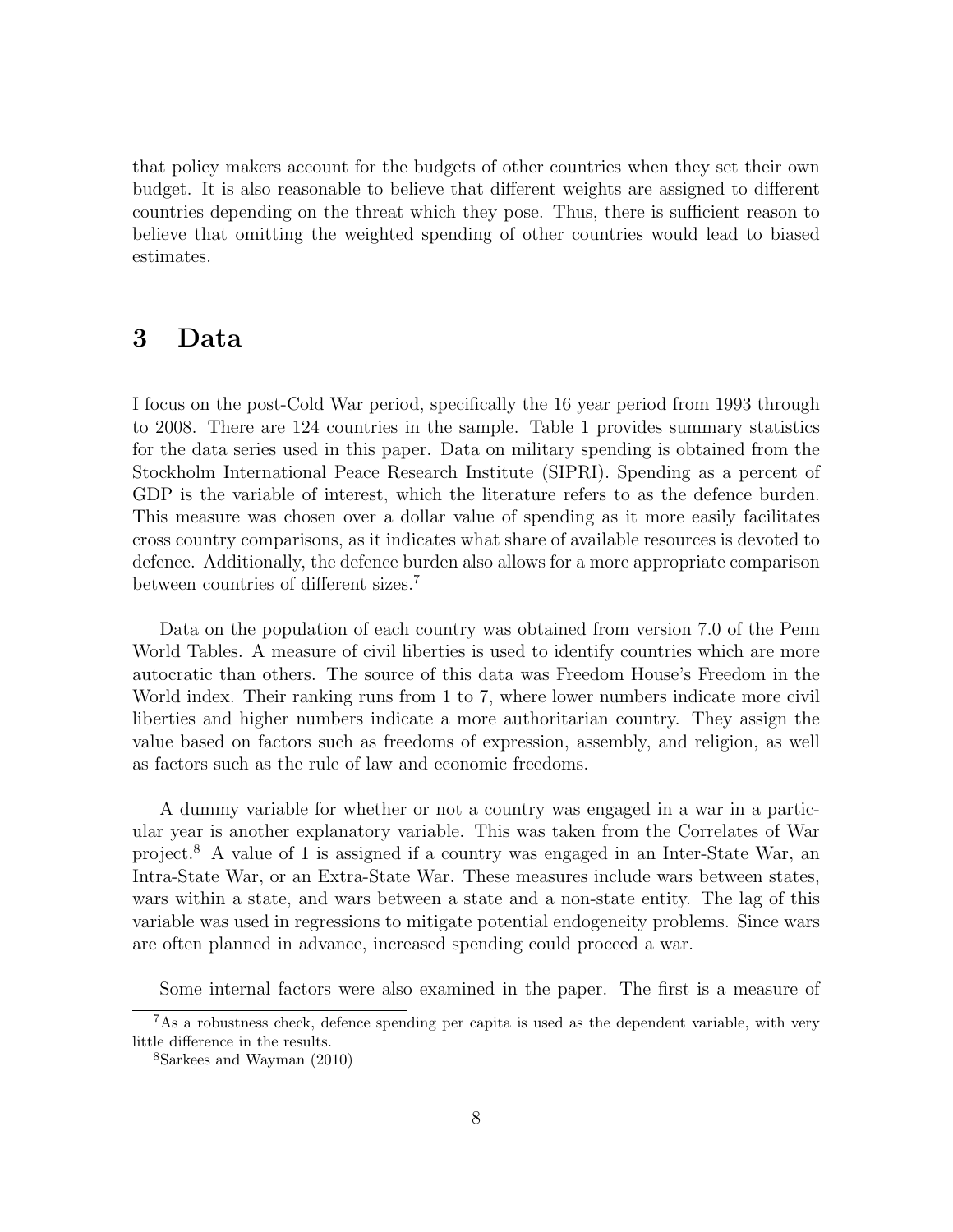that policy makers account for the budgets of other countries when they set their own budget. It is also reasonable to believe that different weights are assigned to different countries depending on the threat which they pose. Thus, there is sufficient reason to believe that omitting the weighted spending of other countries would lead to biased estimates.

#### 3 Data

I focus on the post-Cold War period, specifically the 16 year period from 1993 through to 2008. There are 124 countries in the sample. Table 1 provides summary statistics for the data series used in this paper. Data on military spending is obtained from the Stockholm International Peace Research Institute (SIPRI). Spending as a percent of GDP is the variable of interest, which the literature refers to as the defence burden. This measure was chosen over a dollar value of spending as it more easily facilitates cross country comparisons, as it indicates what share of available resources is devoted to defence. Additionally, the defence burden also allows for a more appropriate comparison between countries of different sizes.<sup>7</sup>

Data on the population of each country was obtained from version 7.0 of the Penn World Tables. A measure of civil liberties is used to identify countries which are more autocratic than others. The source of this data was Freedom House's Freedom in the World index. Their ranking runs from 1 to 7, where lower numbers indicate more civil liberties and higher numbers indicate a more authoritarian country. They assign the value based on factors such as freedoms of expression, assembly, and religion, as well as factors such as the rule of law and economic freedoms.

A dummy variable for whether or not a country was engaged in a war in a particular year is another explanatory variable. This was taken from the Correlates of War project.<sup>8</sup> A value of 1 is assigned if a country was engaged in an Inter-State War, an Intra-State War, or an Extra-State War. These measures include wars between states, wars within a state, and wars between a state and a non-state entity. The lag of this variable was used in regressions to mitigate potential endogeneity problems. Since wars are often planned in advance, increased spending could proceed a war.

Some internal factors were also examined in the paper. The first is a measure of

<sup>7</sup>As a robustness check, defence spending per capita is used as the dependent variable, with very little difference in the results.

<sup>8</sup>Sarkees and Wayman (2010)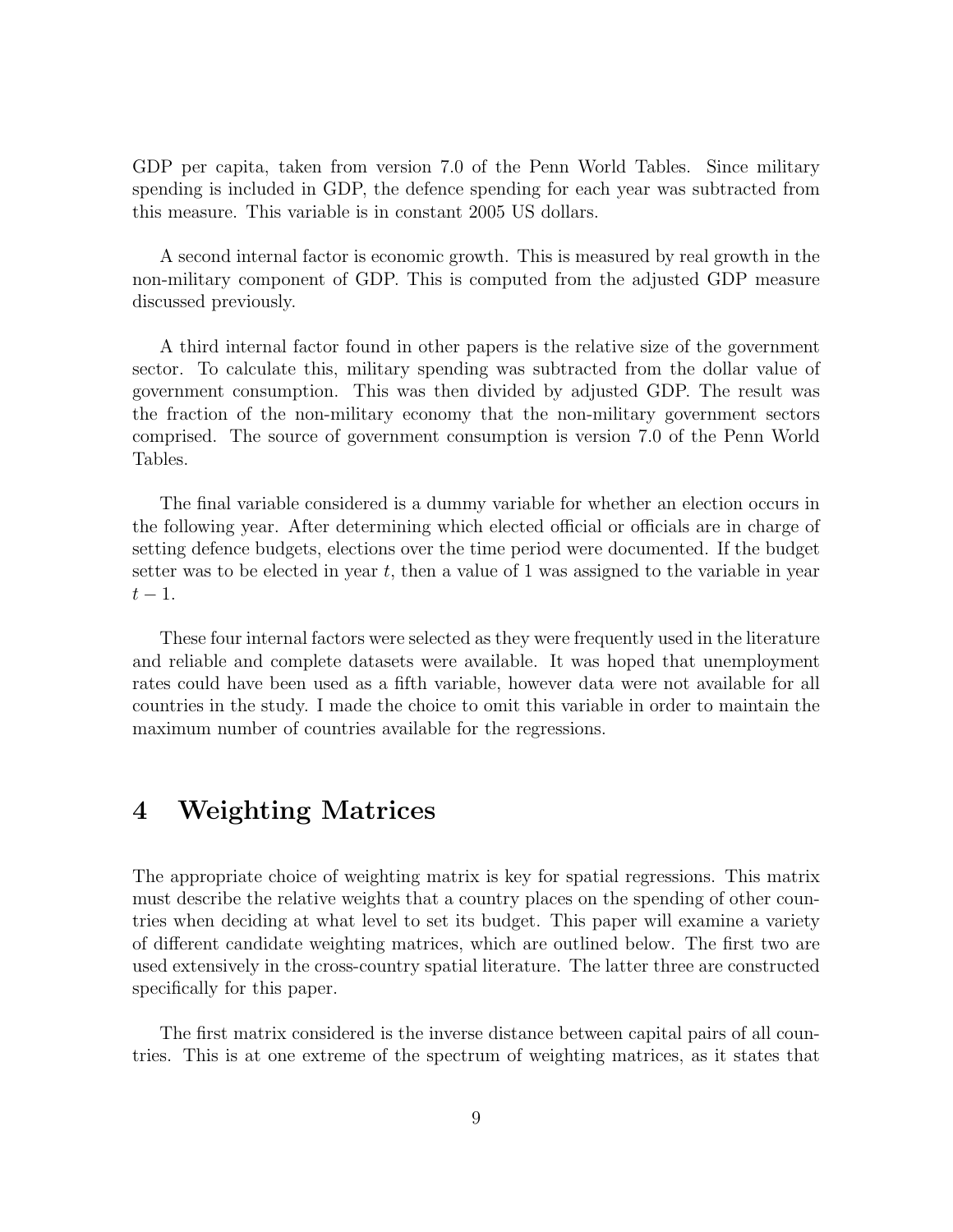GDP per capita, taken from version 7.0 of the Penn World Tables. Since military spending is included in GDP, the defence spending for each year was subtracted from this measure. This variable is in constant 2005 US dollars.

A second internal factor is economic growth. This is measured by real growth in the non-military component of GDP. This is computed from the adjusted GDP measure discussed previously.

A third internal factor found in other papers is the relative size of the government sector. To calculate this, military spending was subtracted from the dollar value of government consumption. This was then divided by adjusted GDP. The result was the fraction of the non-military economy that the non-military government sectors comprised. The source of government consumption is version 7.0 of the Penn World Tables.

The final variable considered is a dummy variable for whether an election occurs in the following year. After determining which elected official or officials are in charge of setting defence budgets, elections over the time period were documented. If the budget setter was to be elected in year  $t$ , then a value of 1 was assigned to the variable in year  $t-1$ .

These four internal factors were selected as they were frequently used in the literature and reliable and complete datasets were available. It was hoped that unemployment rates could have been used as a fifth variable, however data were not available for all countries in the study. I made the choice to omit this variable in order to maintain the maximum number of countries available for the regressions.

### 4 Weighting Matrices

The appropriate choice of weighting matrix is key for spatial regressions. This matrix must describe the relative weights that a country places on the spending of other countries when deciding at what level to set its budget. This paper will examine a variety of different candidate weighting matrices, which are outlined below. The first two are used extensively in the cross-country spatial literature. The latter three are constructed specifically for this paper.

The first matrix considered is the inverse distance between capital pairs of all countries. This is at one extreme of the spectrum of weighting matrices, as it states that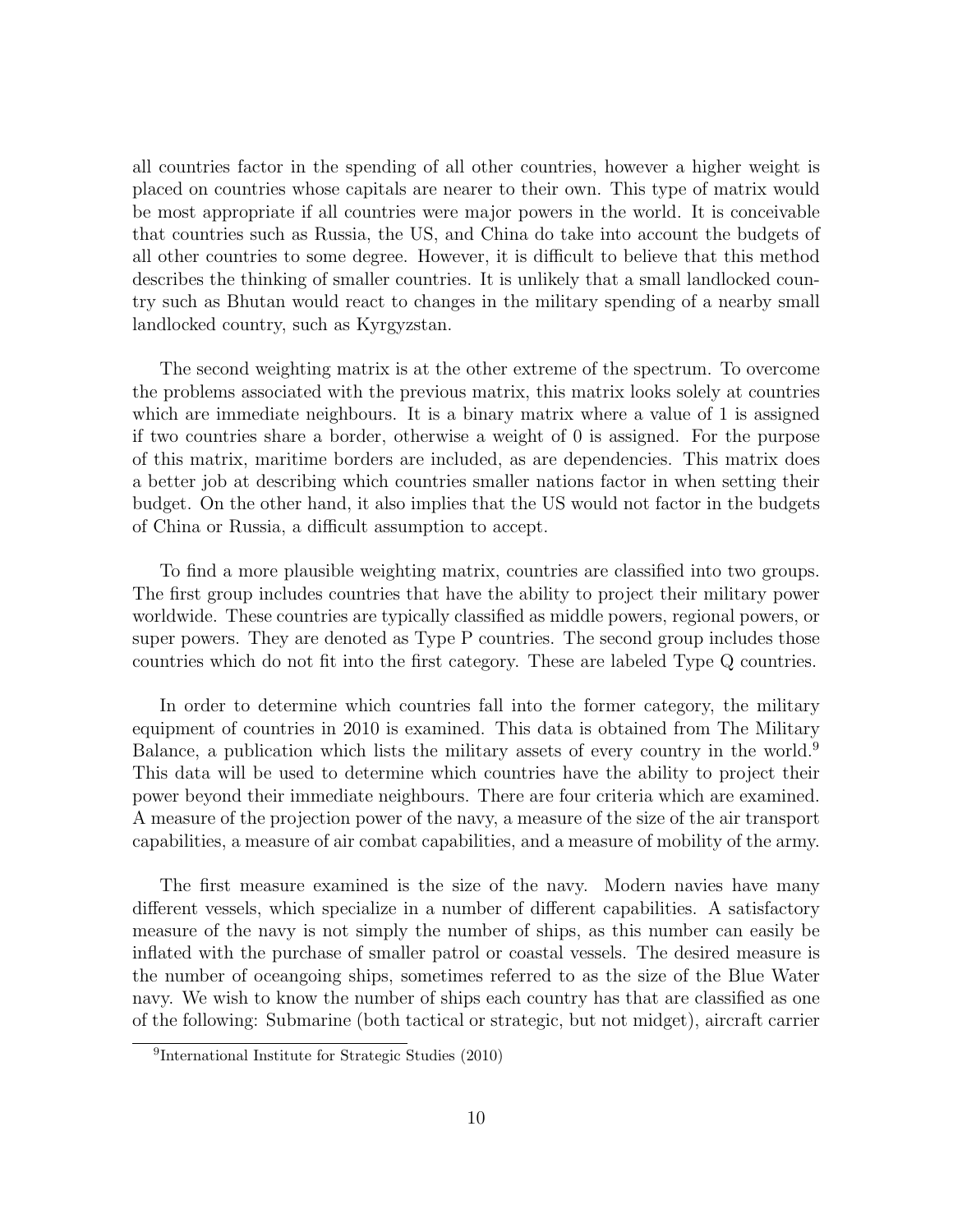all countries factor in the spending of all other countries, however a higher weight is placed on countries whose capitals are nearer to their own. This type of matrix would be most appropriate if all countries were major powers in the world. It is conceivable that countries such as Russia, the US, and China do take into account the budgets of all other countries to some degree. However, it is difficult to believe that this method describes the thinking of smaller countries. It is unlikely that a small landlocked country such as Bhutan would react to changes in the military spending of a nearby small landlocked country, such as Kyrgyzstan.

The second weighting matrix is at the other extreme of the spectrum. To overcome the problems associated with the previous matrix, this matrix looks solely at countries which are immediate neighbours. It is a binary matrix where a value of 1 is assigned if two countries share a border, otherwise a weight of 0 is assigned. For the purpose of this matrix, maritime borders are included, as are dependencies. This matrix does a better job at describing which countries smaller nations factor in when setting their budget. On the other hand, it also implies that the US would not factor in the budgets of China or Russia, a difficult assumption to accept.

To find a more plausible weighting matrix, countries are classified into two groups. The first group includes countries that have the ability to project their military power worldwide. These countries are typically classified as middle powers, regional powers, or super powers. They are denoted as Type P countries. The second group includes those countries which do not fit into the first category. These are labeled Type Q countries.

In order to determine which countries fall into the former category, the military equipment of countries in 2010 is examined. This data is obtained from The Military Balance, a publication which lists the military assets of every country in the world.<sup>9</sup> This data will be used to determine which countries have the ability to project their power beyond their immediate neighbours. There are four criteria which are examined. A measure of the projection power of the navy, a measure of the size of the air transport capabilities, a measure of air combat capabilities, and a measure of mobility of the army.

The first measure examined is the size of the navy. Modern navies have many different vessels, which specialize in a number of different capabilities. A satisfactory measure of the navy is not simply the number of ships, as this number can easily be inflated with the purchase of smaller patrol or coastal vessels. The desired measure is the number of oceangoing ships, sometimes referred to as the size of the Blue Water navy. We wish to know the number of ships each country has that are classified as one of the following: Submarine (both tactical or strategic, but not midget), aircraft carrier

<sup>9</sup> International Institute for Strategic Studies (2010)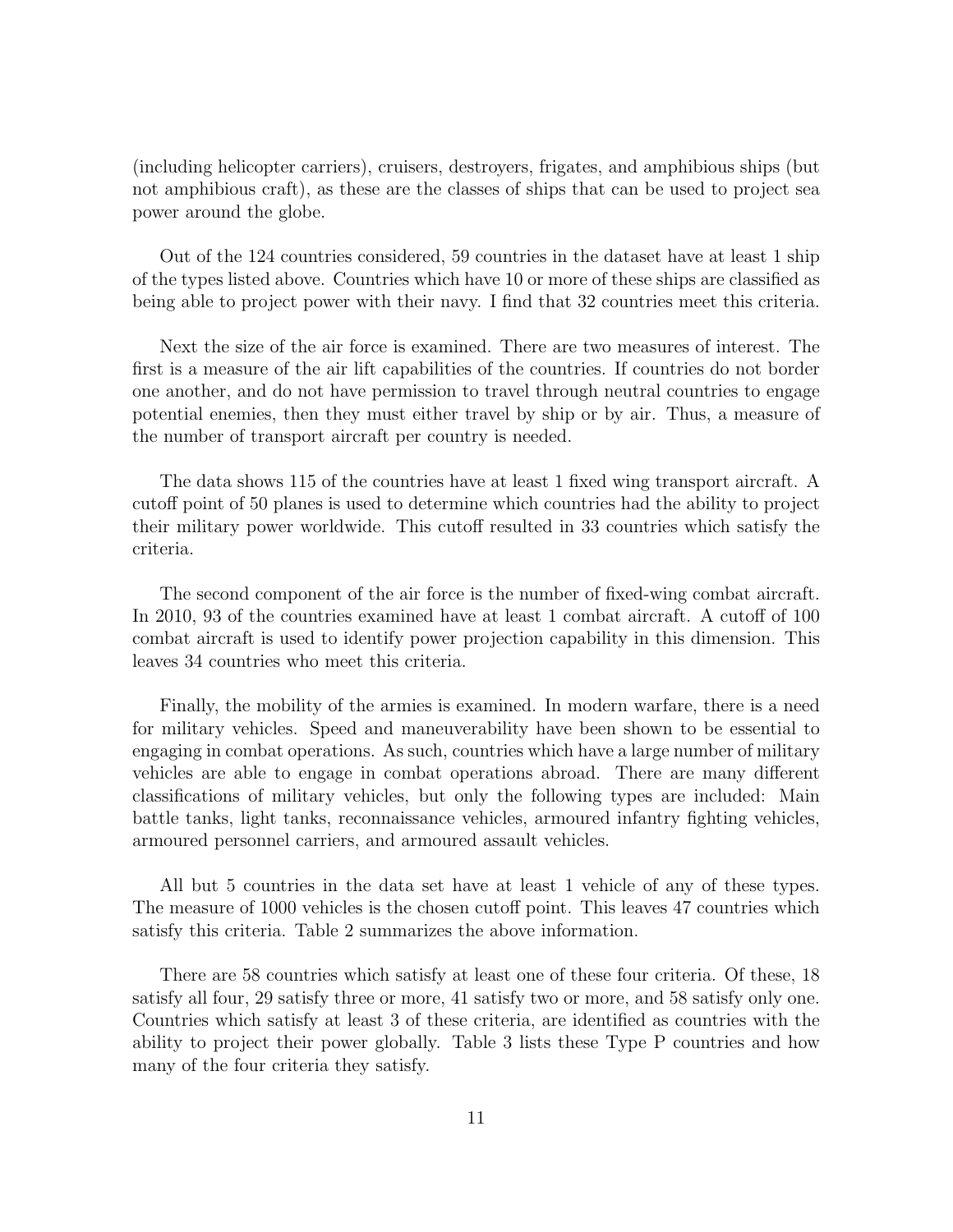(including helicopter carriers), cruisers, destroyers, frigates, and amphibious ships (but not amphibious craft), as these are the classes of ships that can be used to project sea power around the globe.

Out of the 124 countries considered, 59 countries in the dataset have at least 1 ship of the types listed above. Countries which have 10 or more of these ships are classified as being able to project power with their navy. I find that 32 countries meet this criteria.

Next the size of the air force is examined. There are two measures of interest. The first is a measure of the air lift capabilities of the countries. If countries do not border one another, and do not have permission to travel through neutral countries to engage potential enemies, then they must either travel by ship or by air. Thus, a measure of the number of transport aircraft per country is needed.

The data shows 115 of the countries have at least 1 fixed wing transport aircraft. A cutoff point of 50 planes is used to determine which countries had the ability to project their military power worldwide. This cutoff resulted in 33 countries which satisfy the criteria.

The second component of the air force is the number of fixed-wing combat aircraft. In 2010, 93 of the countries examined have at least 1 combat aircraft. A cutoff of 100 combat aircraft is used to identify power projection capability in this dimension. This leaves 34 countries who meet this criteria.

Finally, the mobility of the armies is examined. In modern warfare, there is a need for military vehicles. Speed and maneuverability have been shown to be essential to engaging in combat operations. As such, countries which have a large number of military vehicles are able to engage in combat operations abroad. There are many different classifications of military vehicles, but only the following types are included: Main battle tanks, light tanks, reconnaissance vehicles, armoured infantry fighting vehicles, armoured personnel carriers, and armoured assault vehicles.

All but 5 countries in the data set have at least 1 vehicle of any of these types. The measure of 1000 vehicles is the chosen cutoff point. This leaves 47 countries which satisfy this criteria. Table 2 summarizes the above information.

There are 58 countries which satisfy at least one of these four criteria. Of these, 18 satisfy all four, 29 satisfy three or more, 41 satisfy two or more, and 58 satisfy only one. Countries which satisfy at least 3 of these criteria, are identified as countries with the ability to project their power globally. Table 3 lists these Type P countries and how many of the four criteria they satisfy.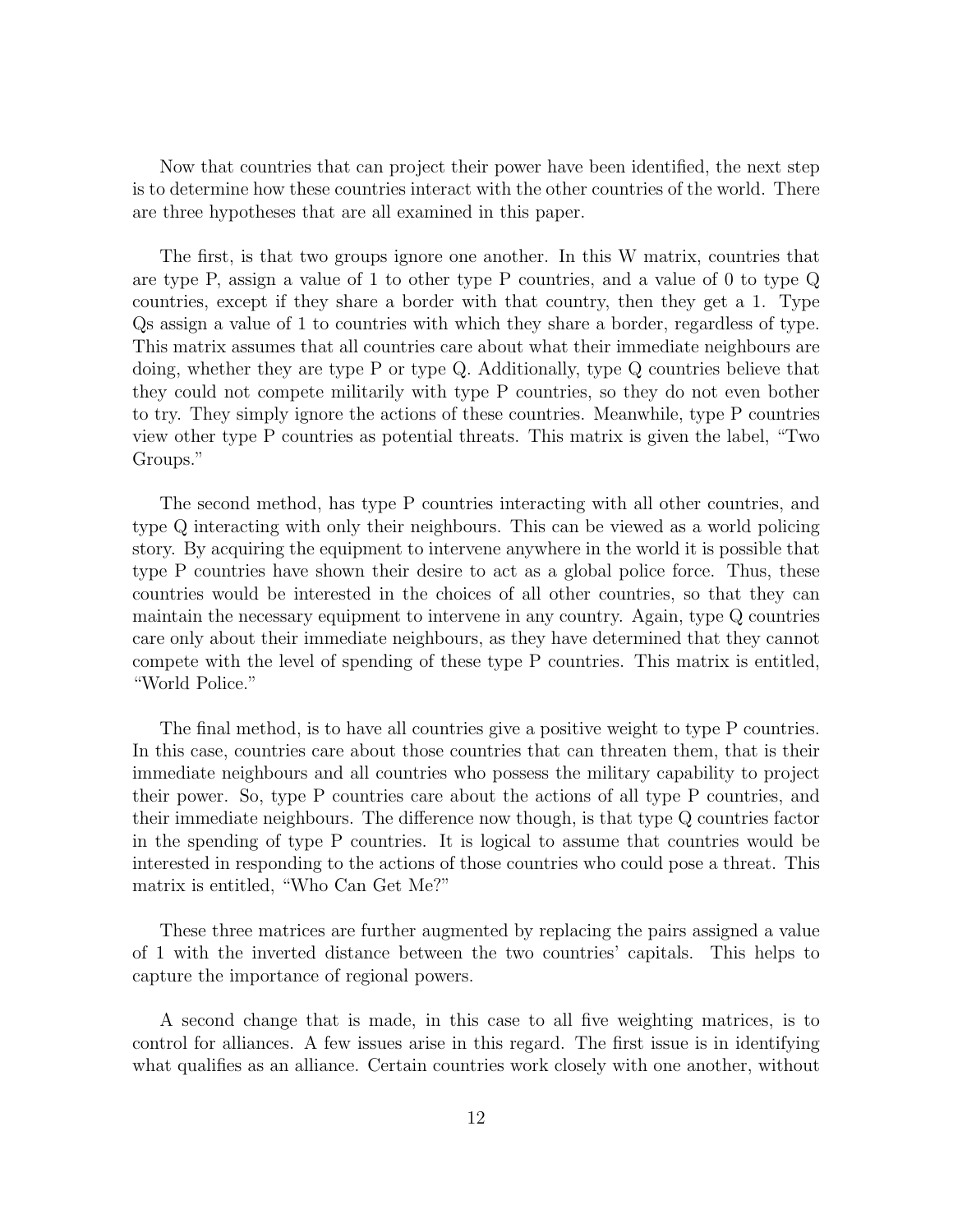Now that countries that can project their power have been identified, the next step is to determine how these countries interact with the other countries of the world. There are three hypotheses that are all examined in this paper.

The first, is that two groups ignore one another. In this W matrix, countries that are type P, assign a value of 1 to other type P countries, and a value of 0 to type Q countries, except if they share a border with that country, then they get a 1. Type Qs assign a value of 1 to countries with which they share a border, regardless of type. This matrix assumes that all countries care about what their immediate neighbours are doing, whether they are type P or type Q. Additionally, type Q countries believe that they could not compete militarily with type P countries, so they do not even bother to try. They simply ignore the actions of these countries. Meanwhile, type P countries view other type P countries as potential threats. This matrix is given the label, "Two Groups."

The second method, has type P countries interacting with all other countries, and type Q interacting with only their neighbours. This can be viewed as a world policing story. By acquiring the equipment to intervene anywhere in the world it is possible that type P countries have shown their desire to act as a global police force. Thus, these countries would be interested in the choices of all other countries, so that they can maintain the necessary equipment to intervene in any country. Again, type Q countries care only about their immediate neighbours, as they have determined that they cannot compete with the level of spending of these type P countries. This matrix is entitled, "World Police."

The final method, is to have all countries give a positive weight to type P countries. In this case, countries care about those countries that can threaten them, that is their immediate neighbours and all countries who possess the military capability to project their power. So, type P countries care about the actions of all type P countries, and their immediate neighbours. The difference now though, is that type Q countries factor in the spending of type P countries. It is logical to assume that countries would be interested in responding to the actions of those countries who could pose a threat. This matrix is entitled, "Who Can Get Me?"

These three matrices are further augmented by replacing the pairs assigned a value of 1 with the inverted distance between the two countries' capitals. This helps to capture the importance of regional powers.

A second change that is made, in this case to all five weighting matrices, is to control for alliances. A few issues arise in this regard. The first issue is in identifying what qualifies as an alliance. Certain countries work closely with one another, without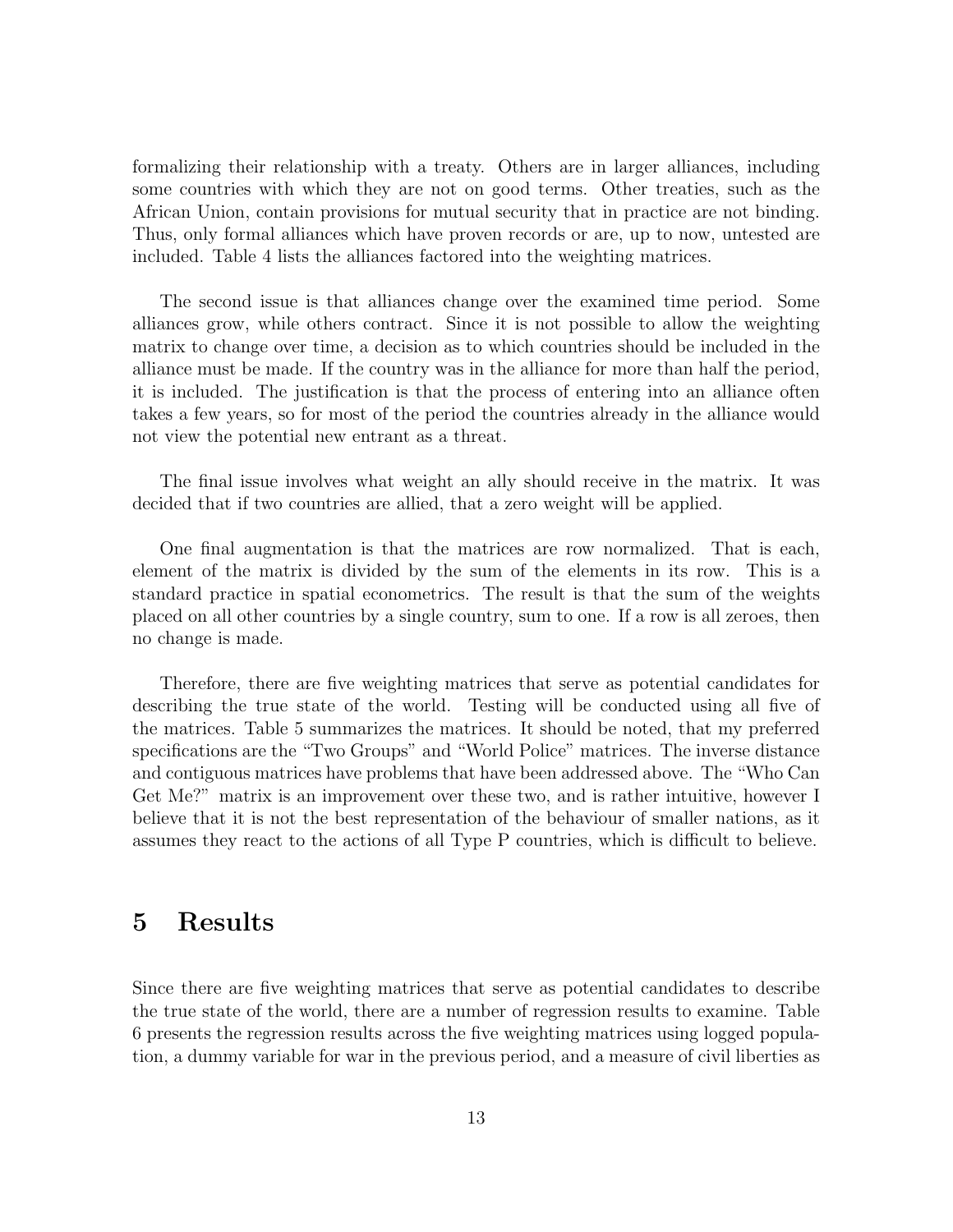formalizing their relationship with a treaty. Others are in larger alliances, including some countries with which they are not on good terms. Other treaties, such as the African Union, contain provisions for mutual security that in practice are not binding. Thus, only formal alliances which have proven records or are, up to now, untested are included. Table 4 lists the alliances factored into the weighting matrices.

The second issue is that alliances change over the examined time period. Some alliances grow, while others contract. Since it is not possible to allow the weighting matrix to change over time, a decision as to which countries should be included in the alliance must be made. If the country was in the alliance for more than half the period, it is included. The justification is that the process of entering into an alliance often takes a few years, so for most of the period the countries already in the alliance would not view the potential new entrant as a threat.

The final issue involves what weight an ally should receive in the matrix. It was decided that if two countries are allied, that a zero weight will be applied.

One final augmentation is that the matrices are row normalized. That is each, element of the matrix is divided by the sum of the elements in its row. This is a standard practice in spatial econometrics. The result is that the sum of the weights placed on all other countries by a single country, sum to one. If a row is all zeroes, then no change is made.

Therefore, there are five weighting matrices that serve as potential candidates for describing the true state of the world. Testing will be conducted using all five of the matrices. Table 5 summarizes the matrices. It should be noted, that my preferred specifications are the "Two Groups" and "World Police" matrices. The inverse distance and contiguous matrices have problems that have been addressed above. The "Who Can Get Me?" matrix is an improvement over these two, and is rather intuitive, however I believe that it is not the best representation of the behaviour of smaller nations, as it assumes they react to the actions of all Type P countries, which is difficult to believe.

#### 5 Results

Since there are five weighting matrices that serve as potential candidates to describe the true state of the world, there are a number of regression results to examine. Table 6 presents the regression results across the five weighting matrices using logged population, a dummy variable for war in the previous period, and a measure of civil liberties as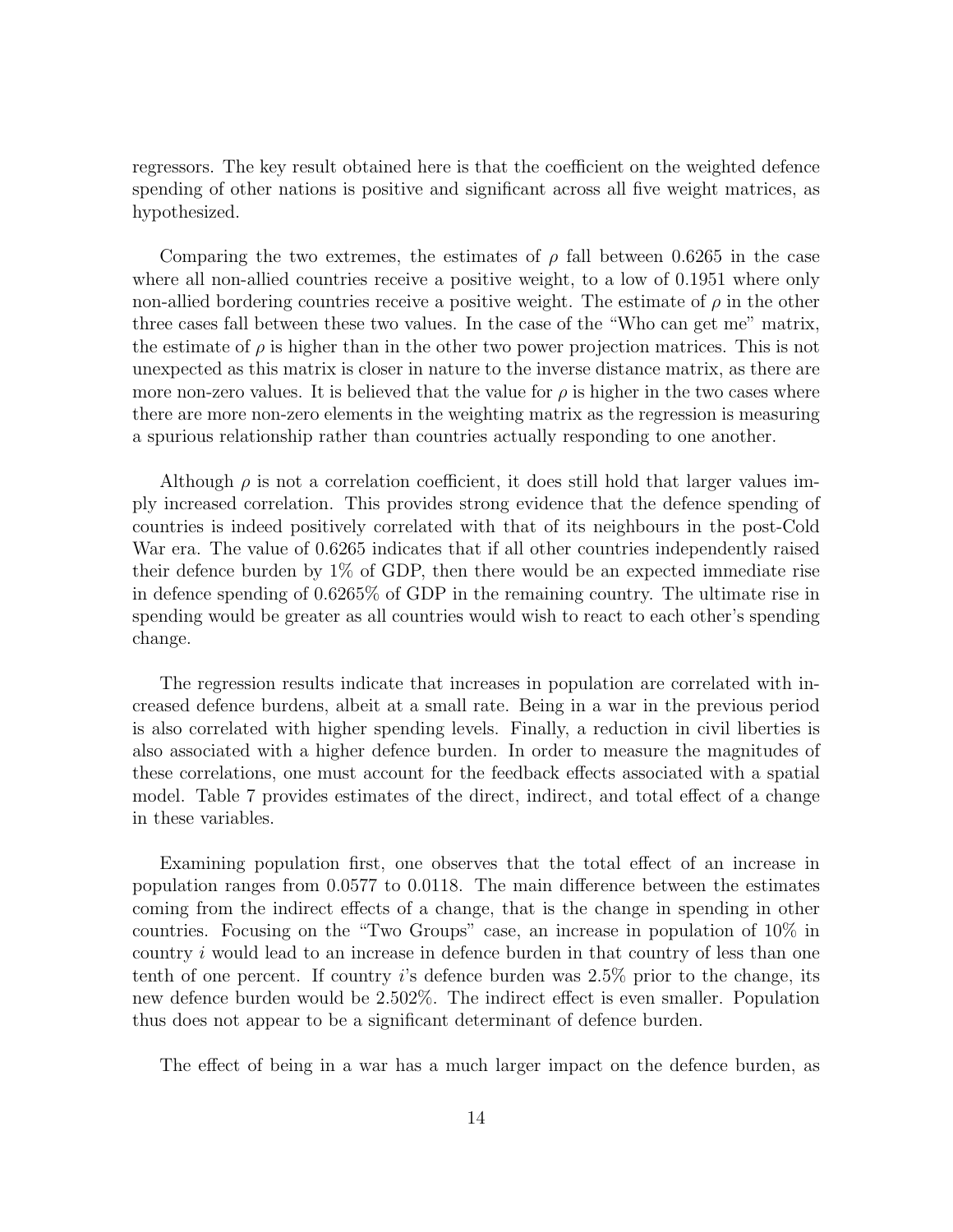regressors. The key result obtained here is that the coefficient on the weighted defence spending of other nations is positive and significant across all five weight matrices, as hypothesized.

Comparing the two extremes, the estimates of  $\rho$  fall between 0.6265 in the case where all non-allied countries receive a positive weight, to a low of 0.1951 where only non-allied bordering countries receive a positive weight. The estimate of  $\rho$  in the other three cases fall between these two values. In the case of the "Who can get me" matrix, the estimate of  $\rho$  is higher than in the other two power projection matrices. This is not unexpected as this matrix is closer in nature to the inverse distance matrix, as there are more non-zero values. It is believed that the value for  $\rho$  is higher in the two cases where there are more non-zero elements in the weighting matrix as the regression is measuring a spurious relationship rather than countries actually responding to one another.

Although  $\rho$  is not a correlation coefficient, it does still hold that larger values imply increased correlation. This provides strong evidence that the defence spending of countries is indeed positively correlated with that of its neighbours in the post-Cold War era. The value of 0.6265 indicates that if all other countries independently raised their defence burden by 1% of GDP, then there would be an expected immediate rise in defence spending of 0.6265% of GDP in the remaining country. The ultimate rise in spending would be greater as all countries would wish to react to each other's spending change.

The regression results indicate that increases in population are correlated with increased defence burdens, albeit at a small rate. Being in a war in the previous period is also correlated with higher spending levels. Finally, a reduction in civil liberties is also associated with a higher defence burden. In order to measure the magnitudes of these correlations, one must account for the feedback effects associated with a spatial model. Table 7 provides estimates of the direct, indirect, and total effect of a change in these variables.

Examining population first, one observes that the total effect of an increase in population ranges from 0.0577 to 0.0118. The main difference between the estimates coming from the indirect effects of a change, that is the change in spending in other countries. Focusing on the "Two Groups" case, an increase in population of 10% in country i would lead to an increase in defence burden in that country of less than one tenth of one percent. If country i's defence burden was 2.5% prior to the change, its new defence burden would be 2.502%. The indirect effect is even smaller. Population thus does not appear to be a significant determinant of defence burden.

The effect of being in a war has a much larger impact on the defence burden, as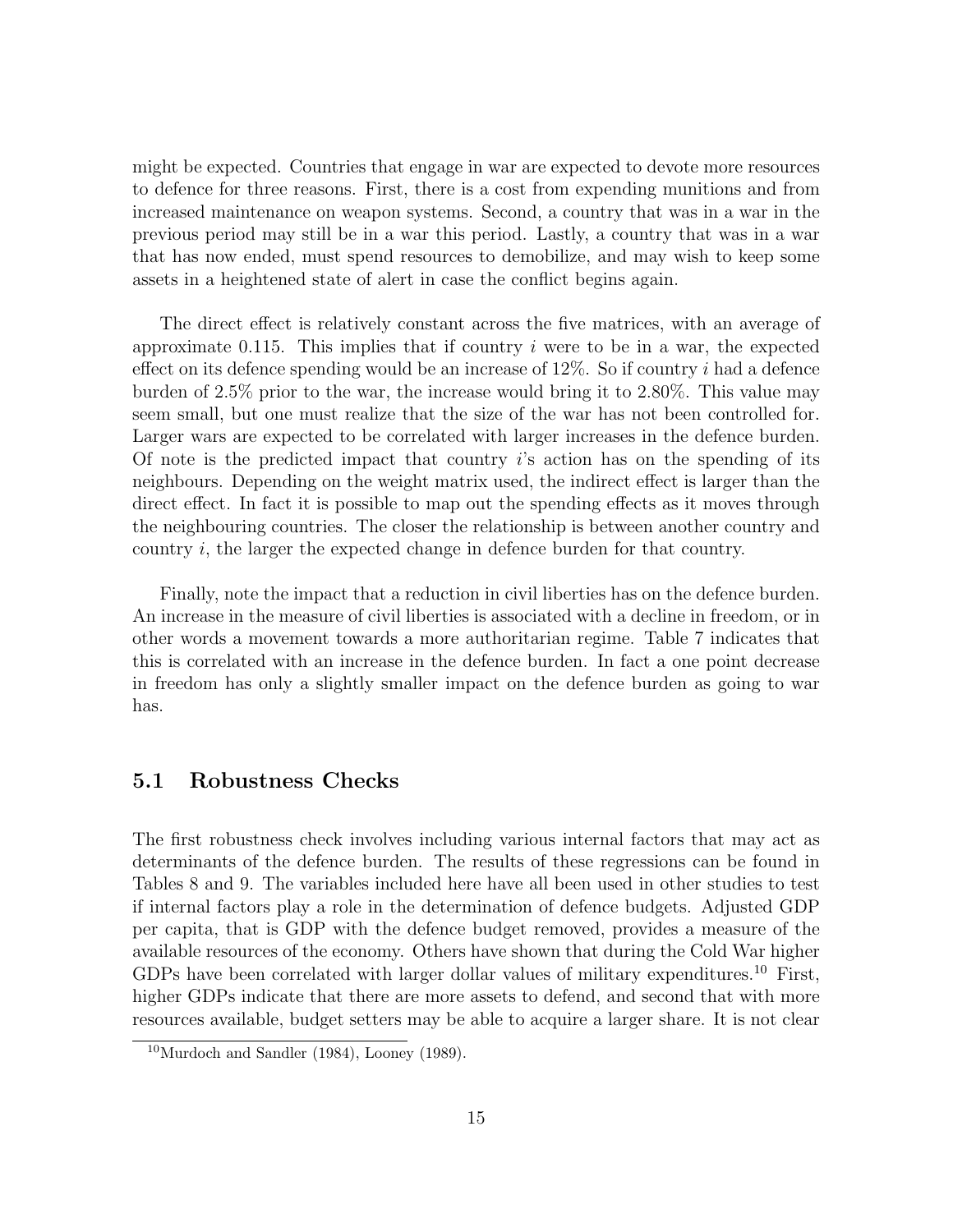might be expected. Countries that engage in war are expected to devote more resources to defence for three reasons. First, there is a cost from expending munitions and from increased maintenance on weapon systems. Second, a country that was in a war in the previous period may still be in a war this period. Lastly, a country that was in a war that has now ended, must spend resources to demobilize, and may wish to keep some assets in a heightened state of alert in case the conflict begins again.

The direct effect is relatively constant across the five matrices, with an average of approximate 0.115. This implies that if country i were to be in a war, the expected effect on its defence spending would be an increase of  $12\%$ . So if country i had a defence burden of 2.5% prior to the war, the increase would bring it to 2.80%. This value may seem small, but one must realize that the size of the war has not been controlled for. Larger wars are expected to be correlated with larger increases in the defence burden. Of note is the predicted impact that country  $i$ 's action has on the spending of its neighbours. Depending on the weight matrix used, the indirect effect is larger than the direct effect. In fact it is possible to map out the spending effects as it moves through the neighbouring countries. The closer the relationship is between another country and country i, the larger the expected change in defence burden for that country.

Finally, note the impact that a reduction in civil liberties has on the defence burden. An increase in the measure of civil liberties is associated with a decline in freedom, or in other words a movement towards a more authoritarian regime. Table 7 indicates that this is correlated with an increase in the defence burden. In fact a one point decrease in freedom has only a slightly smaller impact on the defence burden as going to war has.

#### 5.1 Robustness Checks

The first robustness check involves including various internal factors that may act as determinants of the defence burden. The results of these regressions can be found in Tables 8 and 9. The variables included here have all been used in other studies to test if internal factors play a role in the determination of defence budgets. Adjusted GDP per capita, that is GDP with the defence budget removed, provides a measure of the available resources of the economy. Others have shown that during the Cold War higher GDPs have been correlated with larger dollar values of military expenditures.<sup>10</sup> First, higher GDPs indicate that there are more assets to defend, and second that with more resources available, budget setters may be able to acquire a larger share. It is not clear

 $10$ Murdoch and Sandler (1984), Looney (1989).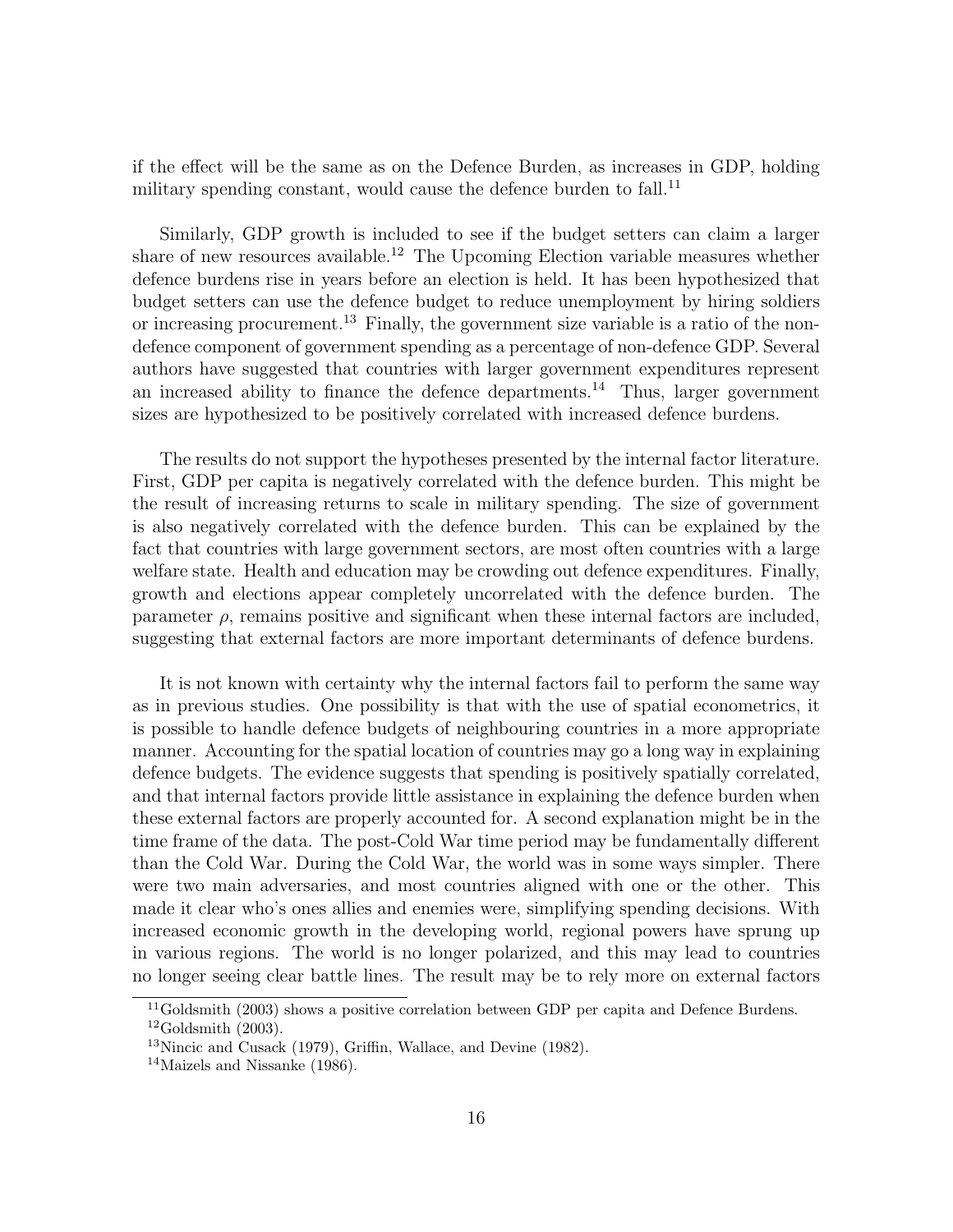if the effect will be the same as on the Defence Burden, as increases in GDP, holding military spending constant, would cause the defence burden to fall.<sup>11</sup>

Similarly, GDP growth is included to see if the budget setters can claim a larger share of new resources available.<sup>12</sup> The Upcoming Election variable measures whether defence burdens rise in years before an election is held. It has been hypothesized that budget setters can use the defence budget to reduce unemployment by hiring soldiers or increasing procurement.<sup>13</sup> Finally, the government size variable is a ratio of the nondefence component of government spending as a percentage of non-defence GDP. Several authors have suggested that countries with larger government expenditures represent an increased ability to finance the defence departments.<sup>14</sup> Thus, larger government sizes are hypothesized to be positively correlated with increased defence burdens.

The results do not support the hypotheses presented by the internal factor literature. First, GDP per capita is negatively correlated with the defence burden. This might be the result of increasing returns to scale in military spending. The size of government is also negatively correlated with the defence burden. This can be explained by the fact that countries with large government sectors, are most often countries with a large welfare state. Health and education may be crowding out defence expenditures. Finally, growth and elections appear completely uncorrelated with the defence burden. The parameter  $\rho$ , remains positive and significant when these internal factors are included, suggesting that external factors are more important determinants of defence burdens.

It is not known with certainty why the internal factors fail to perform the same way as in previous studies. One possibility is that with the use of spatial econometrics, it is possible to handle defence budgets of neighbouring countries in a more appropriate manner. Accounting for the spatial location of countries may go a long way in explaining defence budgets. The evidence suggests that spending is positively spatially correlated, and that internal factors provide little assistance in explaining the defence burden when these external factors are properly accounted for. A second explanation might be in the time frame of the data. The post-Cold War time period may be fundamentally different than the Cold War. During the Cold War, the world was in some ways simpler. There were two main adversaries, and most countries aligned with one or the other. This made it clear who's ones allies and enemies were, simplifying spending decisions. With increased economic growth in the developing world, regional powers have sprung up in various regions. The world is no longer polarized, and this may lead to countries no longer seeing clear battle lines. The result may be to rely more on external factors

 $11$ Goldsmith (2003) shows a positive correlation between GDP per capita and Defence Burdens.  $12$ Goldsmith  $(2003)$ .

<sup>13</sup>Nincic and Cusack (1979), Griffin, Wallace, and Devine (1982).

<sup>14</sup>Maizels and Nissanke (1986).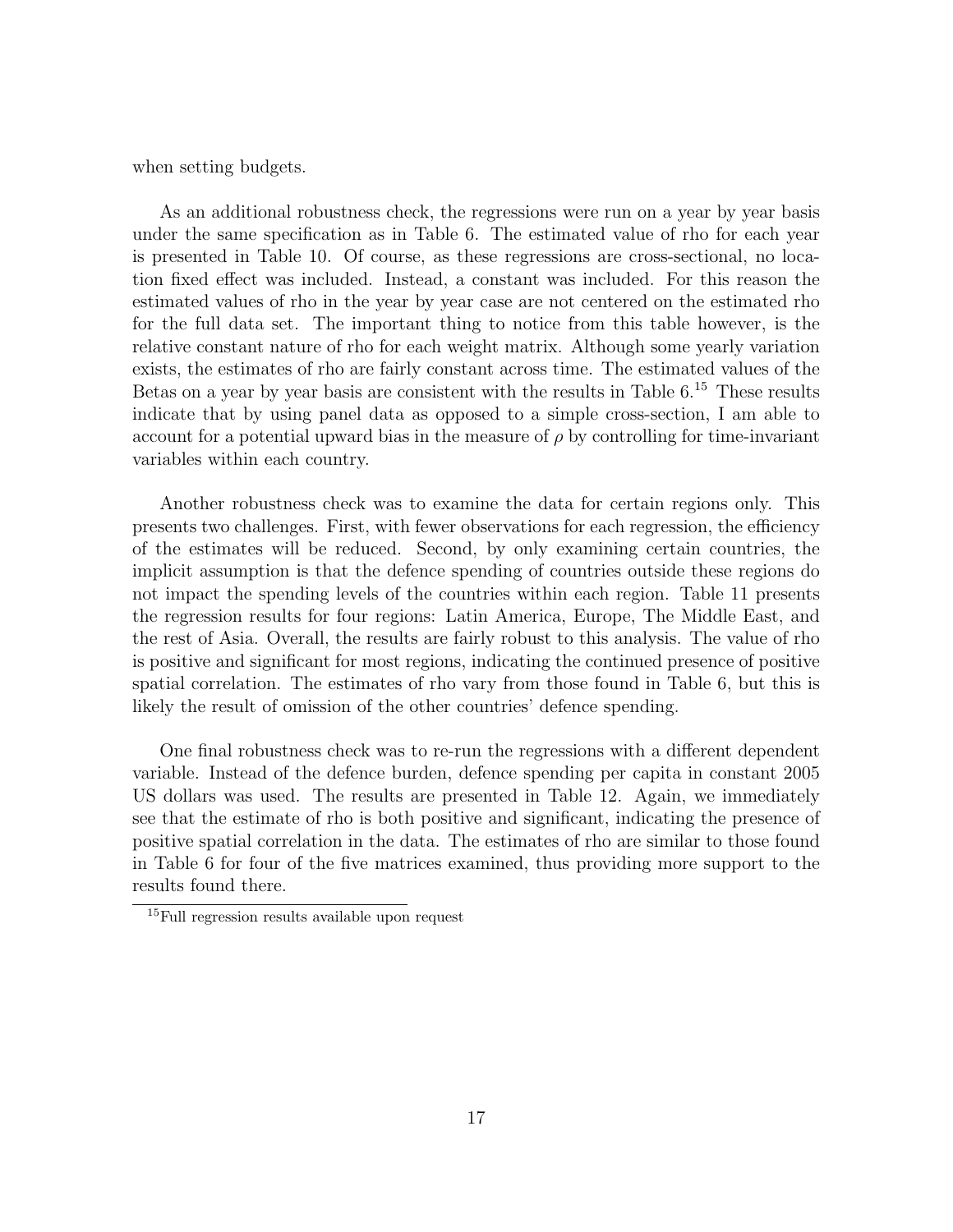when setting budgets.

As an additional robustness check, the regressions were run on a year by year basis under the same specification as in Table 6. The estimated value of rho for each year is presented in Table 10. Of course, as these regressions are cross-sectional, no location fixed effect was included. Instead, a constant was included. For this reason the estimated values of rho in the year by year case are not centered on the estimated rho for the full data set. The important thing to notice from this table however, is the relative constant nature of rho for each weight matrix. Although some yearly variation exists, the estimates of rho are fairly constant across time. The estimated values of the Betas on a year by year basis are consistent with the results in Table  $6<sup>15</sup>$  These results indicate that by using panel data as opposed to a simple cross-section, I am able to account for a potential upward bias in the measure of  $\rho$  by controlling for time-invariant variables within each country.

Another robustness check was to examine the data for certain regions only. This presents two challenges. First, with fewer observations for each regression, the efficiency of the estimates will be reduced. Second, by only examining certain countries, the implicit assumption is that the defence spending of countries outside these regions do not impact the spending levels of the countries within each region. Table 11 presents the regression results for four regions: Latin America, Europe, The Middle East, and the rest of Asia. Overall, the results are fairly robust to this analysis. The value of rho is positive and significant for most regions, indicating the continued presence of positive spatial correlation. The estimates of rho vary from those found in Table 6, but this is likely the result of omission of the other countries' defence spending.

One final robustness check was to re-run the regressions with a different dependent variable. Instead of the defence burden, defence spending per capita in constant 2005 US dollars was used. The results are presented in Table 12. Again, we immediately see that the estimate of rho is both positive and significant, indicating the presence of positive spatial correlation in the data. The estimates of rho are similar to those found in Table 6 for four of the five matrices examined, thus providing more support to the results found there.

<sup>15</sup>Full regression results available upon request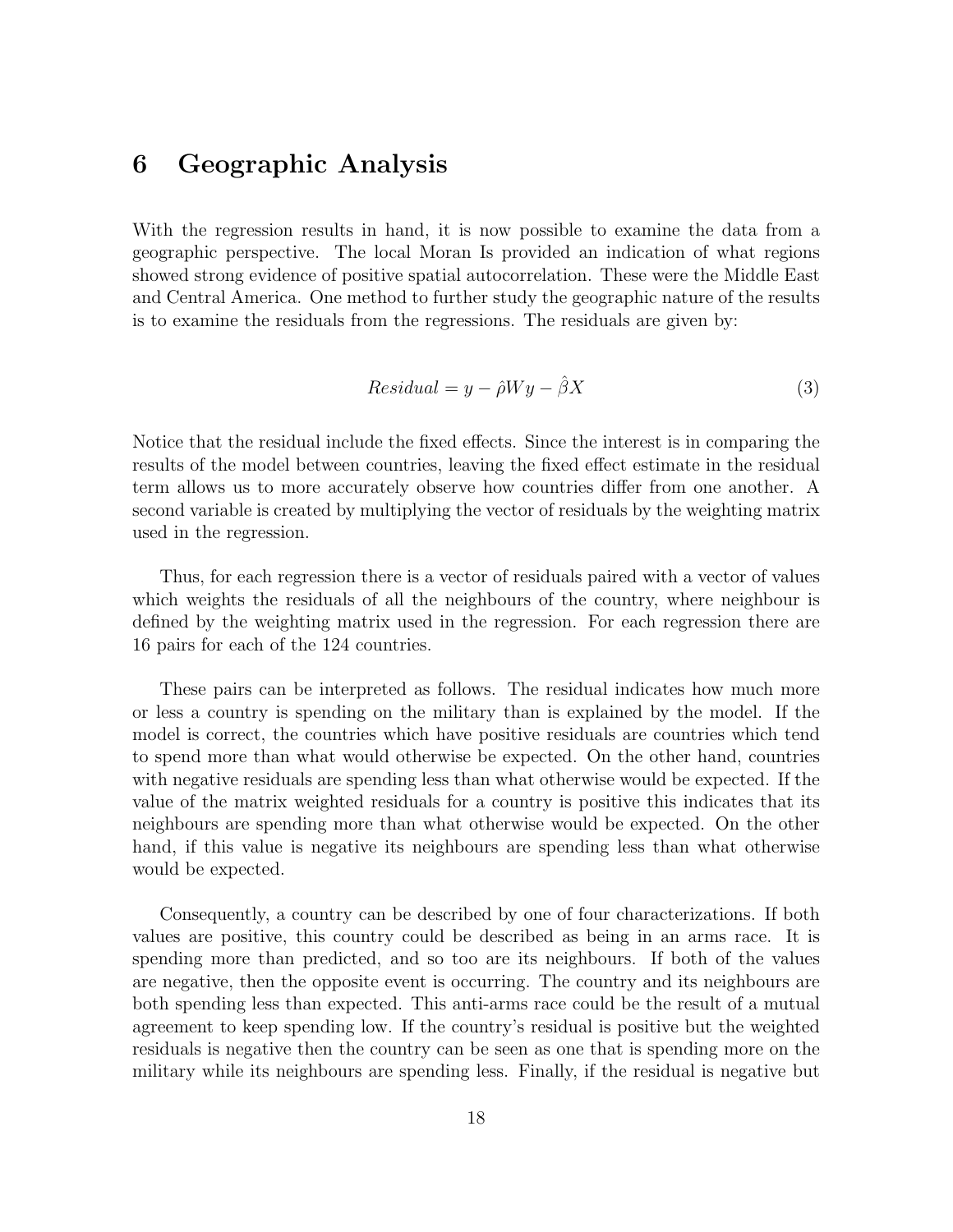### 6 Geographic Analysis

With the regression results in hand, it is now possible to examine the data from a geographic perspective. The local Moran Is provided an indication of what regions showed strong evidence of positive spatial autocorrelation. These were the Middle East and Central America. One method to further study the geographic nature of the results is to examine the residuals from the regressions. The residuals are given by:

$$
Residual = y - \hat{\rho} W y - \hat{\beta} X \tag{3}
$$

Notice that the residual include the fixed effects. Since the interest is in comparing the results of the model between countries, leaving the fixed effect estimate in the residual term allows us to more accurately observe how countries differ from one another. A second variable is created by multiplying the vector of residuals by the weighting matrix used in the regression.

Thus, for each regression there is a vector of residuals paired with a vector of values which weights the residuals of all the neighbours of the country, where neighbour is defined by the weighting matrix used in the regression. For each regression there are 16 pairs for each of the 124 countries.

These pairs can be interpreted as follows. The residual indicates how much more or less a country is spending on the military than is explained by the model. If the model is correct, the countries which have positive residuals are countries which tend to spend more than what would otherwise be expected. On the other hand, countries with negative residuals are spending less than what otherwise would be expected. If the value of the matrix weighted residuals for a country is positive this indicates that its neighbours are spending more than what otherwise would be expected. On the other hand, if this value is negative its neighbours are spending less than what otherwise would be expected.

Consequently, a country can be described by one of four characterizations. If both values are positive, this country could be described as being in an arms race. It is spending more than predicted, and so too are its neighbours. If both of the values are negative, then the opposite event is occurring. The country and its neighbours are both spending less than expected. This anti-arms race could be the result of a mutual agreement to keep spending low. If the country's residual is positive but the weighted residuals is negative then the country can be seen as one that is spending more on the military while its neighbours are spending less. Finally, if the residual is negative but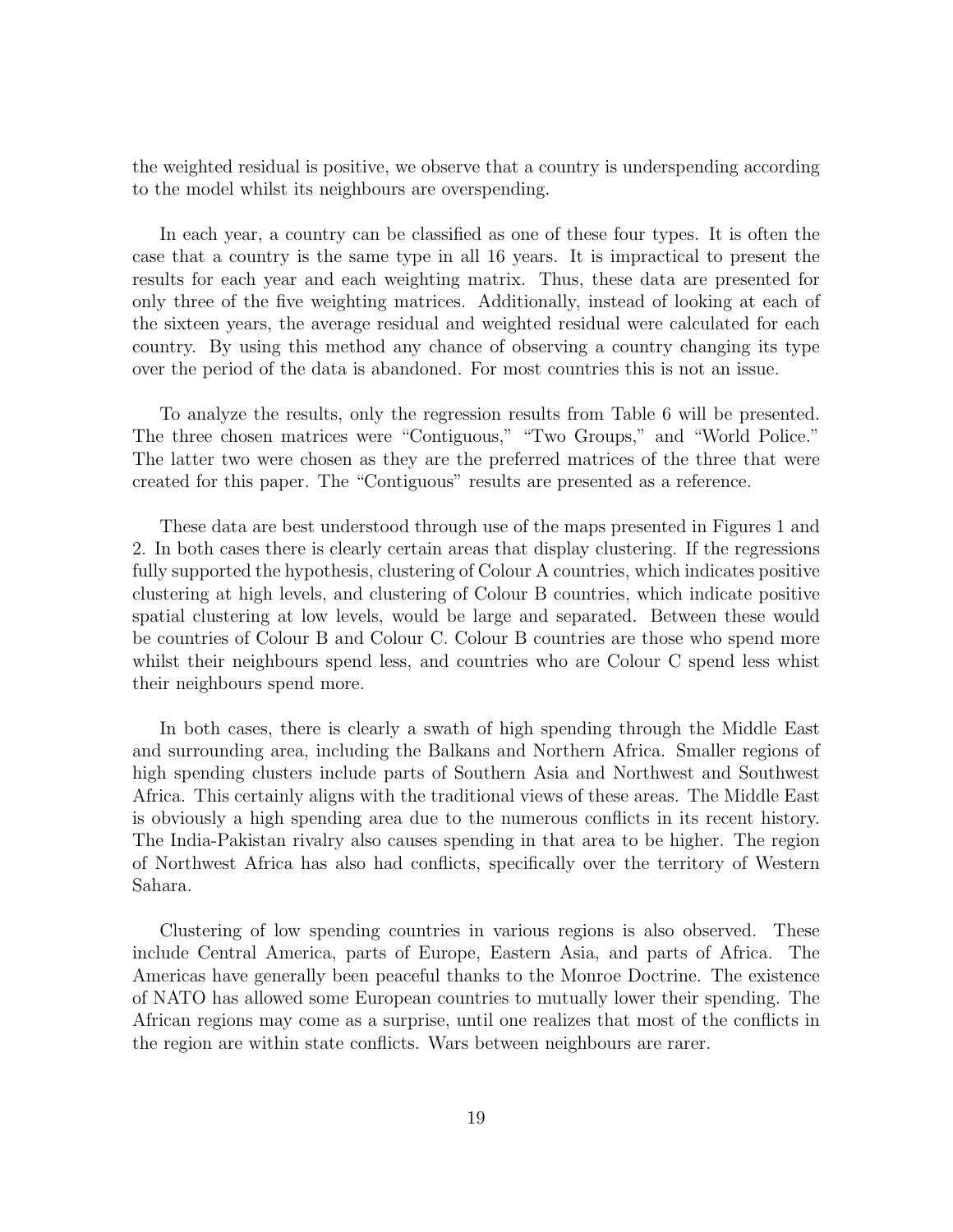the weighted residual is positive, we observe that a country is underspending according to the model whilst its neighbours are overspending.

In each year, a country can be classified as one of these four types. It is often the case that a country is the same type in all 16 years. It is impractical to present the results for each year and each weighting matrix. Thus, these data are presented for only three of the five weighting matrices. Additionally, instead of looking at each of the sixteen years, the average residual and weighted residual were calculated for each country. By using this method any chance of observing a country changing its type over the period of the data is abandoned. For most countries this is not an issue.

To analyze the results, only the regression results from Table 6 will be presented. The three chosen matrices were "Contiguous," "Two Groups," and "World Police." The latter two were chosen as they are the preferred matrices of the three that were created for this paper. The "Contiguous" results are presented as a reference.

These data are best understood through use of the maps presented in Figures 1 and 2. In both cases there is clearly certain areas that display clustering. If the regressions fully supported the hypothesis, clustering of Colour A countries, which indicates positive clustering at high levels, and clustering of Colour B countries, which indicate positive spatial clustering at low levels, would be large and separated. Between these would be countries of Colour B and Colour C. Colour B countries are those who spend more whilst their neighbours spend less, and countries who are Colour C spend less whist their neighbours spend more.

In both cases, there is clearly a swath of high spending through the Middle East and surrounding area, including the Balkans and Northern Africa. Smaller regions of high spending clusters include parts of Southern Asia and Northwest and Southwest Africa. This certainly aligns with the traditional views of these areas. The Middle East is obviously a high spending area due to the numerous conflicts in its recent history. The India-Pakistan rivalry also causes spending in that area to be higher. The region of Northwest Africa has also had conflicts, specifically over the territory of Western Sahara.

Clustering of low spending countries in various regions is also observed. These include Central America, parts of Europe, Eastern Asia, and parts of Africa. The Americas have generally been peaceful thanks to the Monroe Doctrine. The existence of NATO has allowed some European countries to mutually lower their spending. The African regions may come as a surprise, until one realizes that most of the conflicts in the region are within state conflicts. Wars between neighbours are rarer.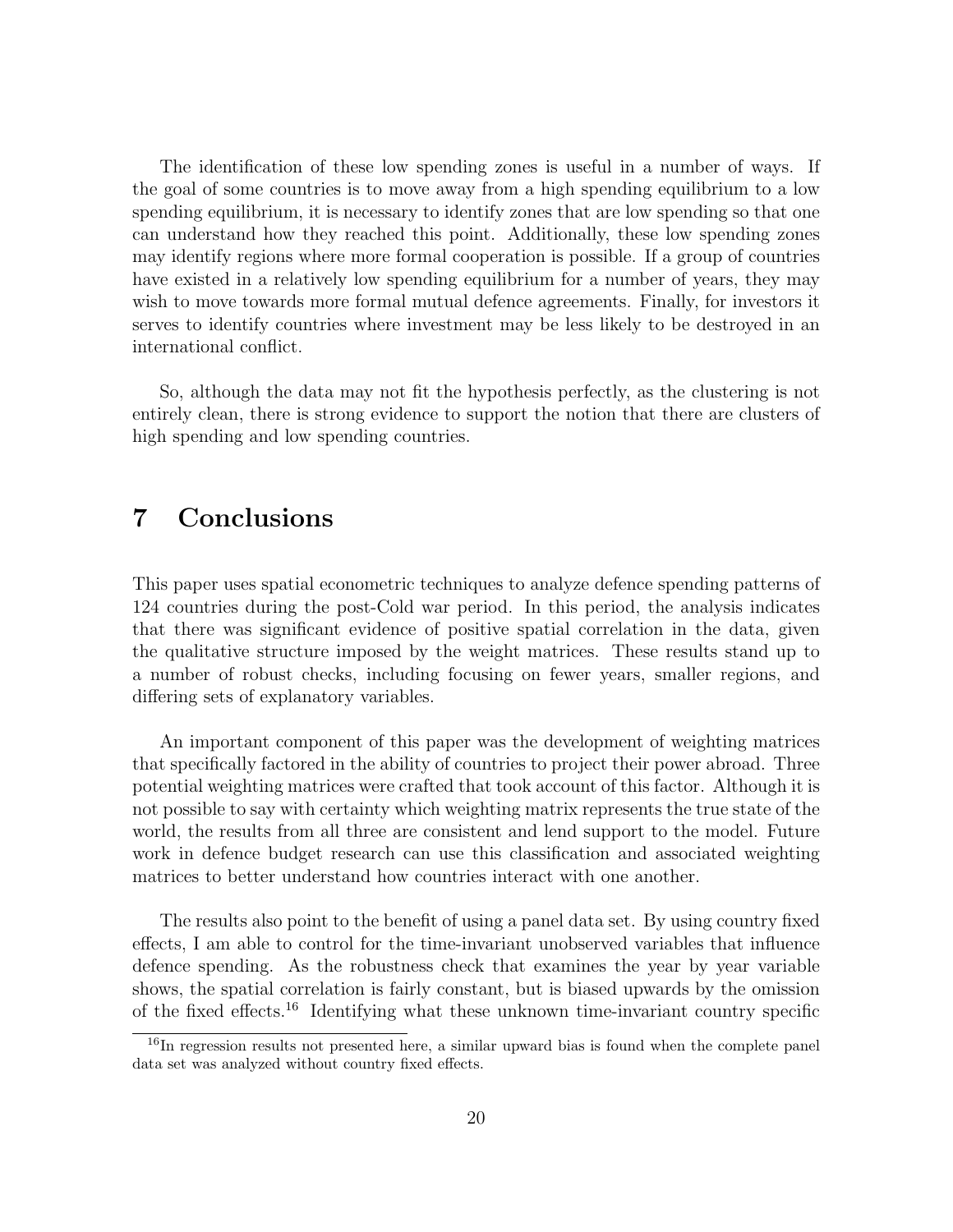The identification of these low spending zones is useful in a number of ways. If the goal of some countries is to move away from a high spending equilibrium to a low spending equilibrium, it is necessary to identify zones that are low spending so that one can understand how they reached this point. Additionally, these low spending zones may identify regions where more formal cooperation is possible. If a group of countries have existed in a relatively low spending equilibrium for a number of years, they may wish to move towards more formal mutual defence agreements. Finally, for investors it serves to identify countries where investment may be less likely to be destroyed in an international conflict.

So, although the data may not fit the hypothesis perfectly, as the clustering is not entirely clean, there is strong evidence to support the notion that there are clusters of high spending and low spending countries.

### 7 Conclusions

This paper uses spatial econometric techniques to analyze defence spending patterns of 124 countries during the post-Cold war period. In this period, the analysis indicates that there was significant evidence of positive spatial correlation in the data, given the qualitative structure imposed by the weight matrices. These results stand up to a number of robust checks, including focusing on fewer years, smaller regions, and differing sets of explanatory variables.

An important component of this paper was the development of weighting matrices that specifically factored in the ability of countries to project their power abroad. Three potential weighting matrices were crafted that took account of this factor. Although it is not possible to say with certainty which weighting matrix represents the true state of the world, the results from all three are consistent and lend support to the model. Future work in defence budget research can use this classification and associated weighting matrices to better understand how countries interact with one another.

The results also point to the benefit of using a panel data set. By using country fixed effects, I am able to control for the time-invariant unobserved variables that influence defence spending. As the robustness check that examines the year by year variable shows, the spatial correlation is fairly constant, but is biased upwards by the omission of the fixed effects.<sup>16</sup> Identifying what these unknown time-invariant country specific

<sup>&</sup>lt;sup>16</sup>In regression results not presented here, a similar upward bias is found when the complete panel data set was analyzed without country fixed effects.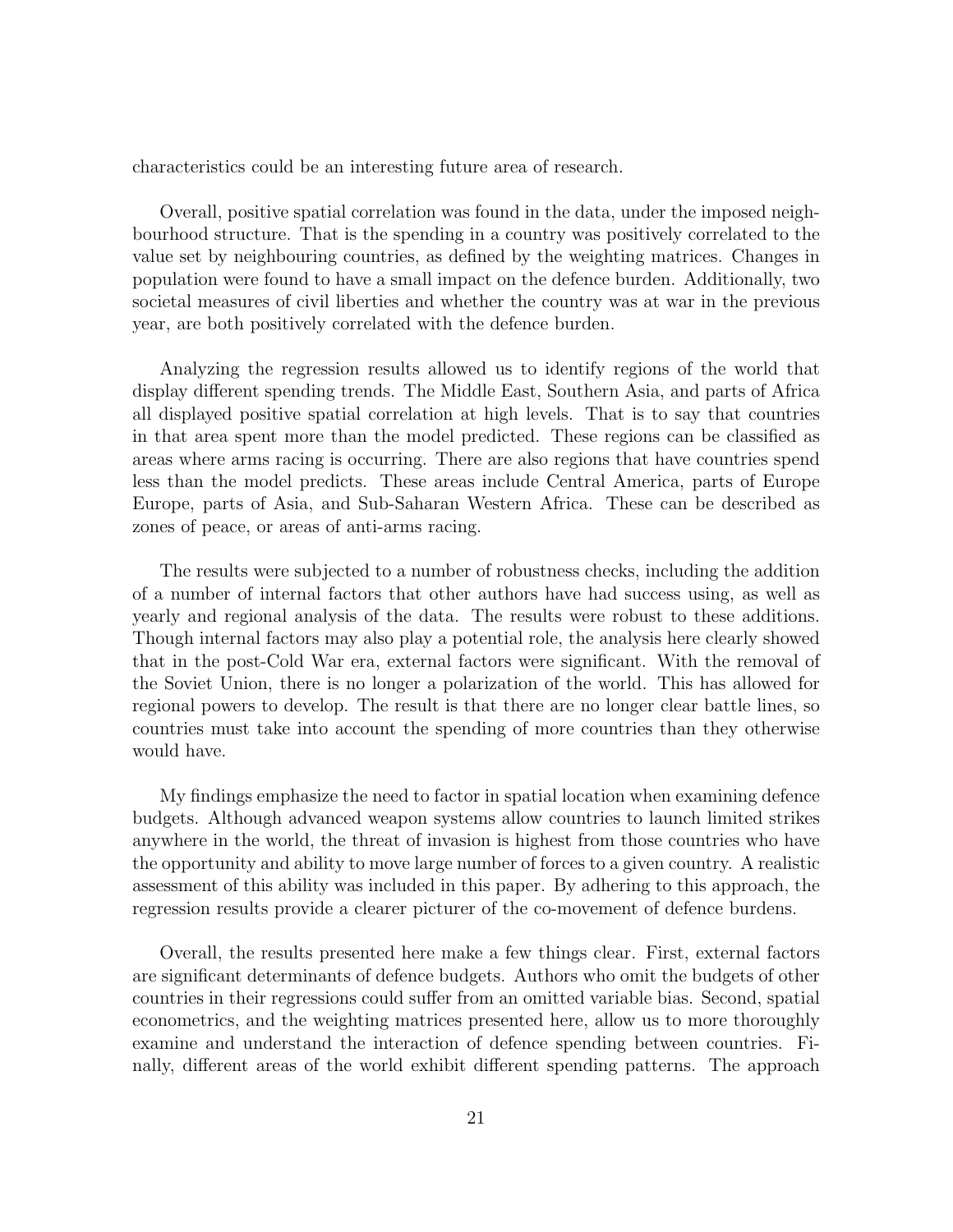characteristics could be an interesting future area of research.

Overall, positive spatial correlation was found in the data, under the imposed neighbourhood structure. That is the spending in a country was positively correlated to the value set by neighbouring countries, as defined by the weighting matrices. Changes in population were found to have a small impact on the defence burden. Additionally, two societal measures of civil liberties and whether the country was at war in the previous year, are both positively correlated with the defence burden.

Analyzing the regression results allowed us to identify regions of the world that display different spending trends. The Middle East, Southern Asia, and parts of Africa all displayed positive spatial correlation at high levels. That is to say that countries in that area spent more than the model predicted. These regions can be classified as areas where arms racing is occurring. There are also regions that have countries spend less than the model predicts. These areas include Central America, parts of Europe Europe, parts of Asia, and Sub-Saharan Western Africa. These can be described as zones of peace, or areas of anti-arms racing.

The results were subjected to a number of robustness checks, including the addition of a number of internal factors that other authors have had success using, as well as yearly and regional analysis of the data. The results were robust to these additions. Though internal factors may also play a potential role, the analysis here clearly showed that in the post-Cold War era, external factors were significant. With the removal of the Soviet Union, there is no longer a polarization of the world. This has allowed for regional powers to develop. The result is that there are no longer clear battle lines, so countries must take into account the spending of more countries than they otherwise would have.

My findings emphasize the need to factor in spatial location when examining defence budgets. Although advanced weapon systems allow countries to launch limited strikes anywhere in the world, the threat of invasion is highest from those countries who have the opportunity and ability to move large number of forces to a given country. A realistic assessment of this ability was included in this paper. By adhering to this approach, the regression results provide a clearer picturer of the co-movement of defence burdens.

Overall, the results presented here make a few things clear. First, external factors are significant determinants of defence budgets. Authors who omit the budgets of other countries in their regressions could suffer from an omitted variable bias. Second, spatial econometrics, and the weighting matrices presented here, allow us to more thoroughly examine and understand the interaction of defence spending between countries. Finally, different areas of the world exhibit different spending patterns. The approach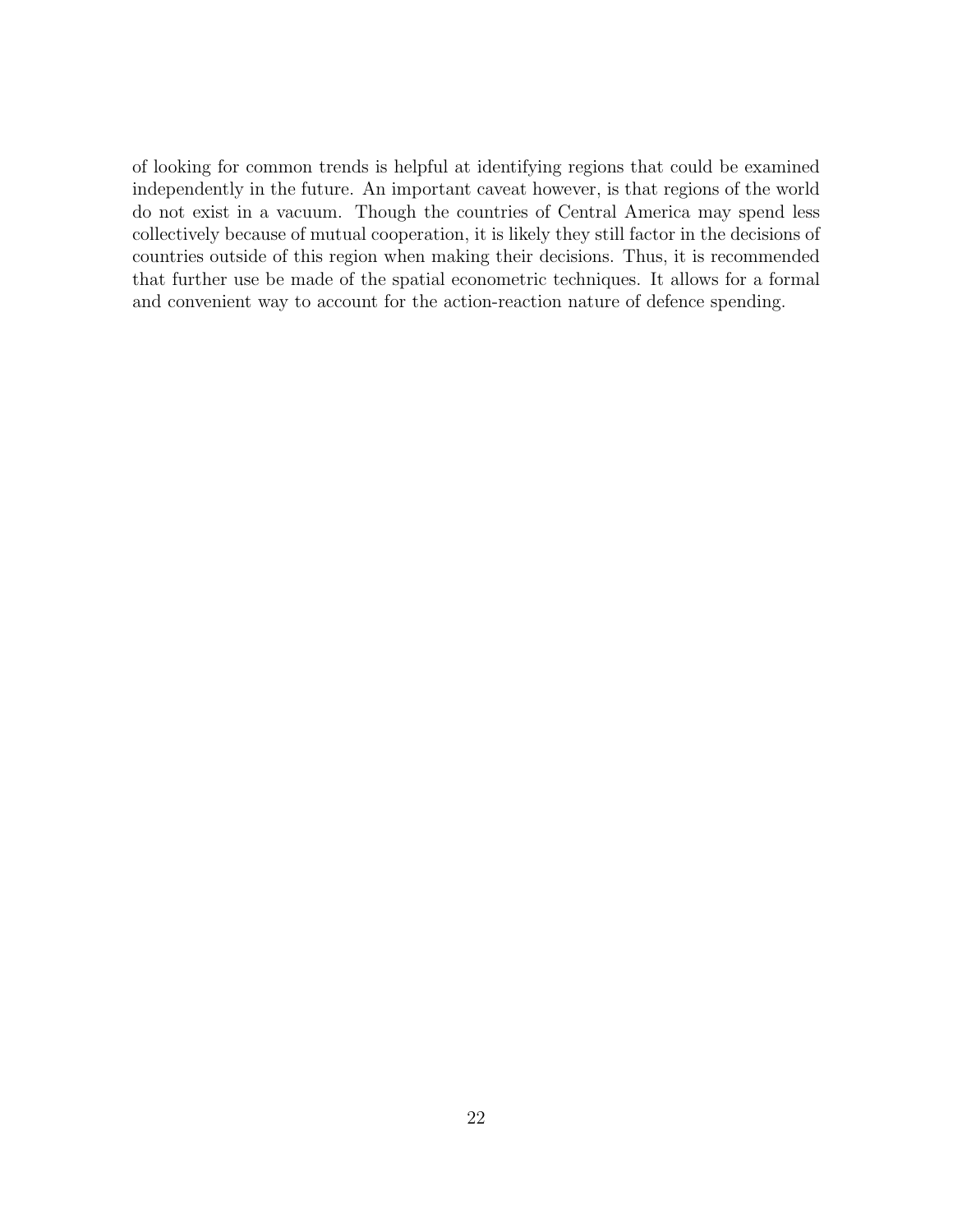of looking for common trends is helpful at identifying regions that could be examined independently in the future. An important caveat however, is that regions of the world do not exist in a vacuum. Though the countries of Central America may spend less collectively because of mutual cooperation, it is likely they still factor in the decisions of countries outside of this region when making their decisions. Thus, it is recommended that further use be made of the spatial econometric techniques. It allows for a formal and convenient way to account for the action-reaction nature of defence spending.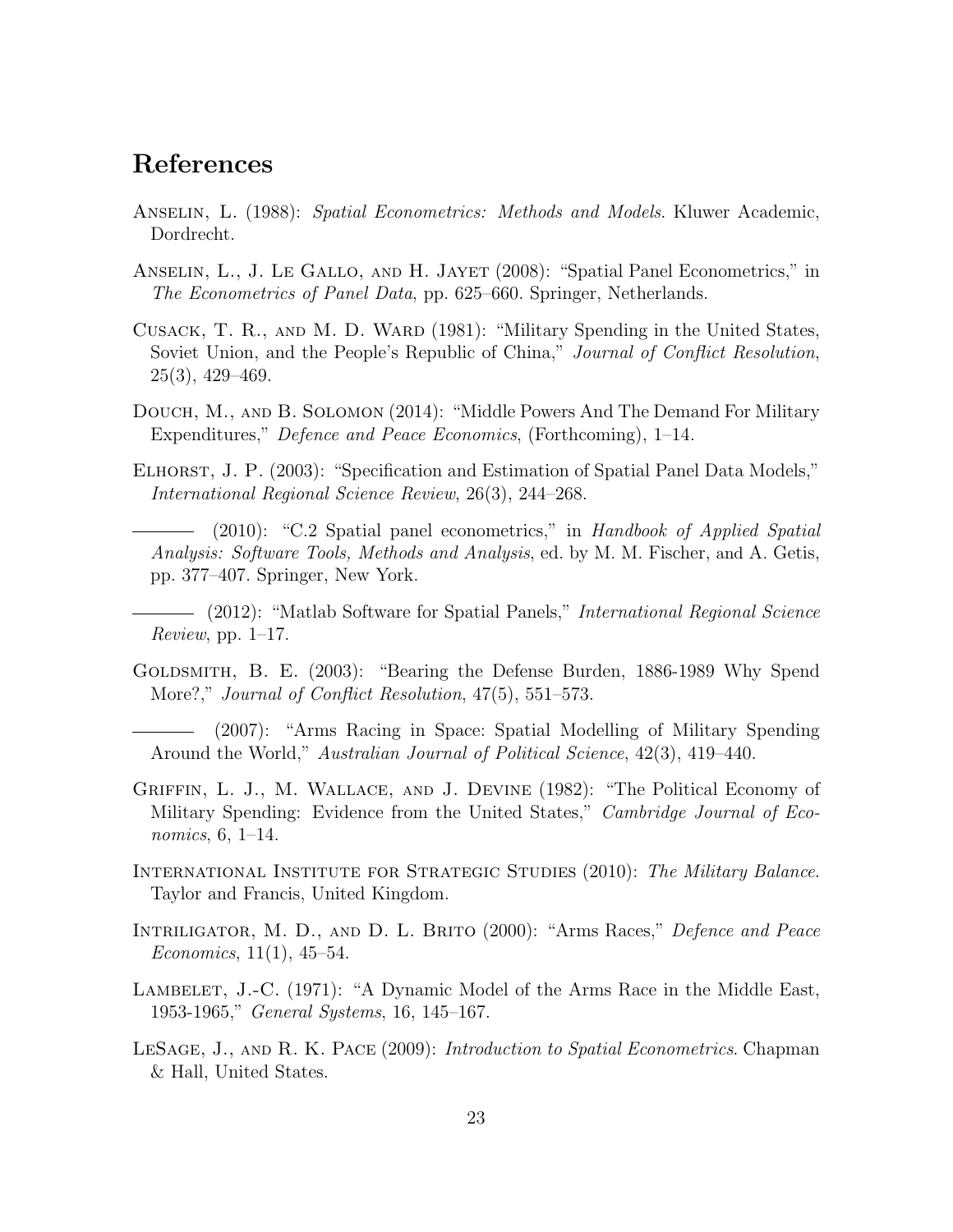#### References

- ANSELIN, L. (1988): Spatial Econometrics: Methods and Models. Kluwer Academic, Dordrecht.
- ANSELIN, L., J. LE GALLO, AND H. JAYET (2008): "Spatial Panel Econometrics," in The Econometrics of Panel Data, pp. 625–660. Springer, Netherlands.
- CUSACK, T. R., AND M. D. WARD (1981): "Military Spending in the United States, Soviet Union, and the People's Republic of China," Journal of Conflict Resolution, 25(3), 429–469.
- Douch, M., and B. Solomon (2014): "Middle Powers And The Demand For Military Expenditures," Defence and Peace Economics, (Forthcoming), 1–14.
- Elhorst, J. P. (2003): "Specification and Estimation of Spatial Panel Data Models," International Regional Science Review, 26(3), 244–268.
	- (2010): "C.2 Spatial panel econometrics," in Handbook of Applied Spatial Analysis: Software Tools, Methods and Analysis, ed. by M. M. Fischer, and A. Getis, pp. 377–407. Springer, New York.
- (2012): "Matlab Software for Spatial Panels," International Regional Science Review, pp.  $1-17$ .
- Goldsmith, B. E. (2003): "Bearing the Defense Burden, 1886-1989 Why Spend More?," *Journal of Conflict Resolution*, 47(5), 551–573.
	- (2007): "Arms Racing in Space: Spatial Modelling of Military Spending Around the World," Australian Journal of Political Science, 42(3), 419–440.
- Griffin, L. J., M. Wallace, and J. Devine (1982): "The Political Economy of Military Spending: Evidence from the United States," Cambridge Journal of Economics, 6, 1–14.
- INTERNATIONAL INSTITUTE FOR STRATEGIC STUDIES (2010): The Military Balance. Taylor and Francis, United Kingdom.
- INTRILIGATOR, M. D., AND D. L. BRITO (2000): "Arms Races," Defence and Peace Economics,  $11(1)$ ,  $45-54$ .
- LAMBELET, J.-C. (1971): "A Dynamic Model of the Arms Race in the Middle East, 1953-1965," General Systems, 16, 145–167.
- LESAGE, J., AND R. K. PACE (2009): *Introduction to Spatial Econometrics*. Chapman & Hall, United States.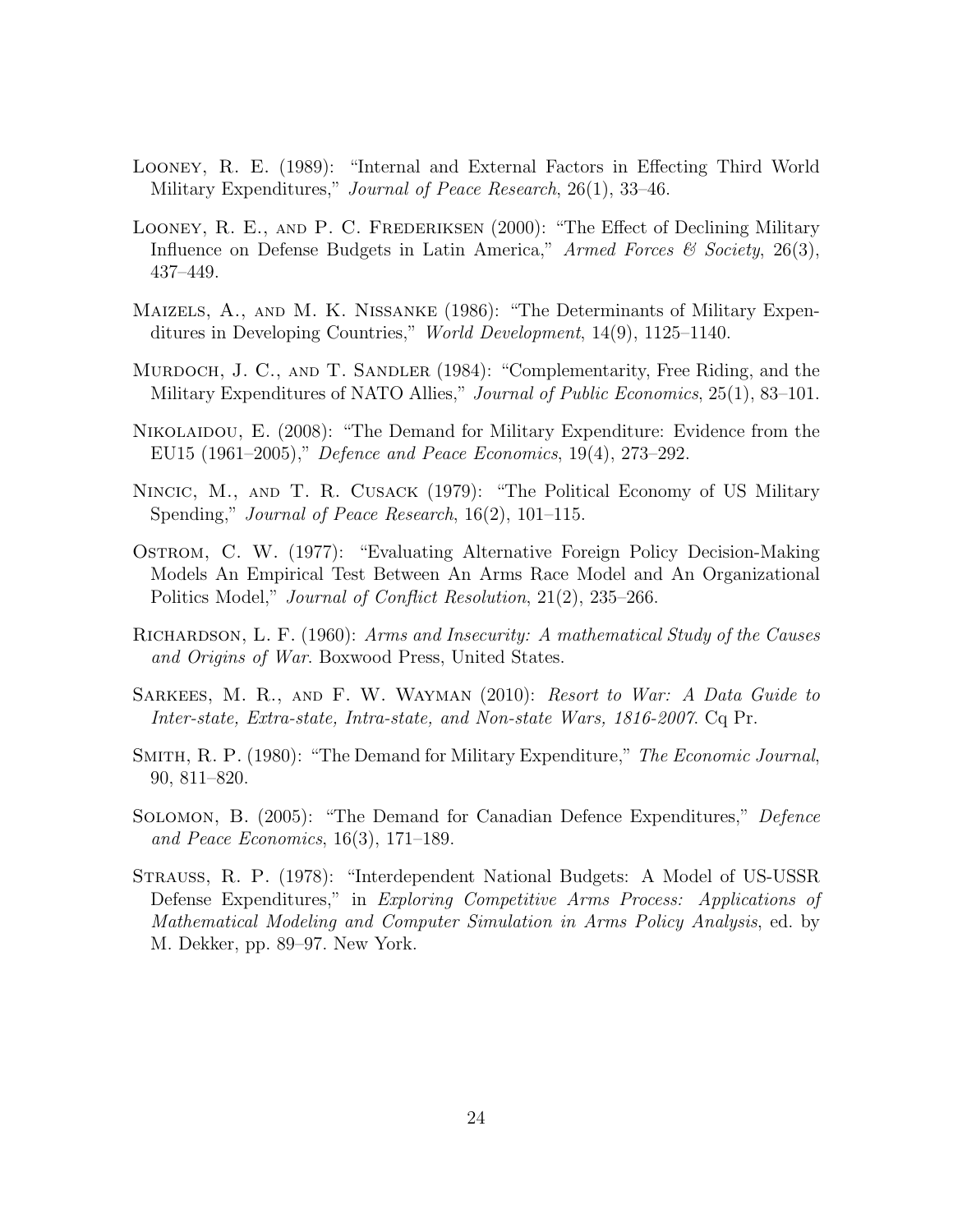- Looney, R. E. (1989): "Internal and External Factors in Effecting Third World Military Expenditures," Journal of Peace Research, 26(1), 33–46.
- Looney, R. E., and P. C. Frederiksen (2000): "The Effect of Declining Military Influence on Defense Budgets in Latin America," Armed Forces & Society, 26(3), 437–449.
- Maizels, A., and M. K. Nissanke (1986): "The Determinants of Military Expenditures in Developing Countries," World Development, 14(9), 1125–1140.
- MURDOCH, J. C., AND T. SANDLER (1984): "Complementarity, Free Riding, and the Military Expenditures of NATO Allies," Journal of Public Economics, 25(1), 83–101.
- Nikolaidou, E. (2008): "The Demand for Military Expenditure: Evidence from the EU15 (1961–2005)," Defence and Peace Economics, 19(4), 273–292.
- Nincic, M., and T. R. Cusack (1979): "The Political Economy of US Military Spending," Journal of Peace Research, 16(2), 101–115.
- Ostrom, C. W. (1977): "Evaluating Alternative Foreign Policy Decision-Making Models An Empirical Test Between An Arms Race Model and An Organizational Politics Model," *Journal of Conflict Resolution*, 21(2), 235–266.
- Richardson, L. F. (1960): Arms and Insecurity: A mathematical Study of the Causes and Origins of War. Boxwood Press, United States.
- SARKEES, M. R., AND F. W. WAYMAN (2010): Resort to War: A Data Guide to Inter-state, Extra-state, Intra-state, and Non-state Wars, 1816-2007. Cq Pr.
- SMITH, R. P. (1980): "The Demand for Military Expenditure," The Economic Journal, 90, 811–820.
- Solomon, B. (2005): "The Demand for Canadian Defence Expenditures," Defence and Peace Economics, 16(3), 171–189.
- Strauss, R. P. (1978): "Interdependent National Budgets: A Model of US-USSR Defense Expenditures," in Exploring Competitive Arms Process: Applications of Mathematical Modeling and Computer Simulation in Arms Policy Analysis, ed. by M. Dekker, pp. 89–97. New York.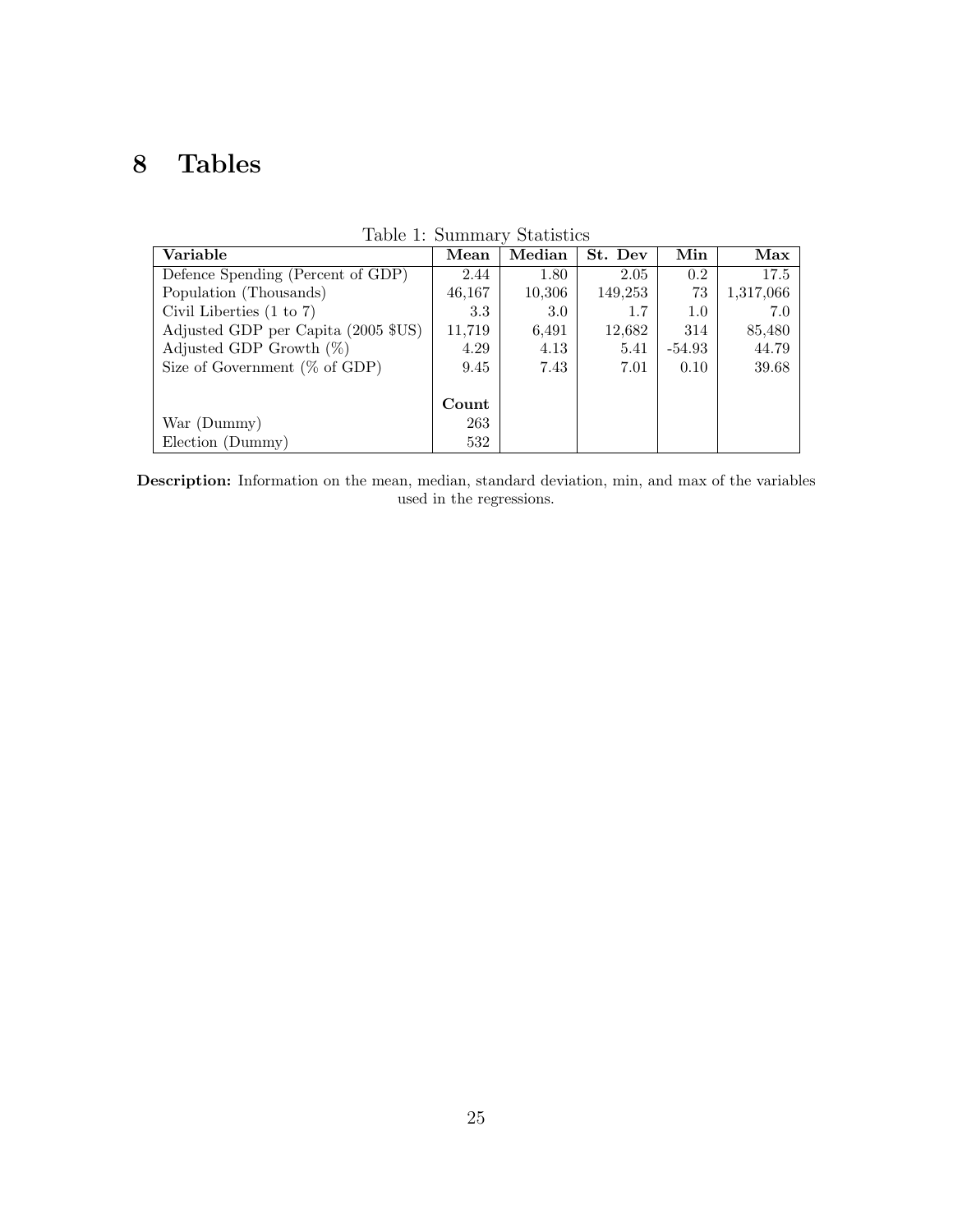# 8 Tables

| Variable                            | Mean   | Median | St. Dev | Min    | Max       |
|-------------------------------------|--------|--------|---------|--------|-----------|
| Defence Spending (Percent of GDP)   | 2.44   | 1.80   | 2.05    | 0.2    | 17.5      |
| Population (Thousands)              | 46,167 | 10,306 | 149,253 | 73     | 1,317,066 |
| Civil Liberties $(1 to 7)$          | 3.3    | 3.0    | 1.7     | 1.0    | 7.0       |
| Adjusted GDP per Capita (2005 \$US) | 11,719 | 6,491  | 12,682  | 314    | 85,480    |
| Adjusted GDP Growth $(\%)$          | 4.29   | 4.13   | 5.41    | -54.93 | 44.79     |
| Size of Government $(\%$ of GDP)    | 9.45   | 7.43   | 7.01    | 0.10   | 39.68     |
|                                     |        |        |         |        |           |
|                                     | Count  |        |         |        |           |
| War (Dummy)                         | 263    |        |         |        |           |
| Election (Dummy)                    | 532    |        |         |        |           |

Table 1: Summary Statistics

Description: Information on the mean, median, standard deviation, min, and max of the variables used in the regressions.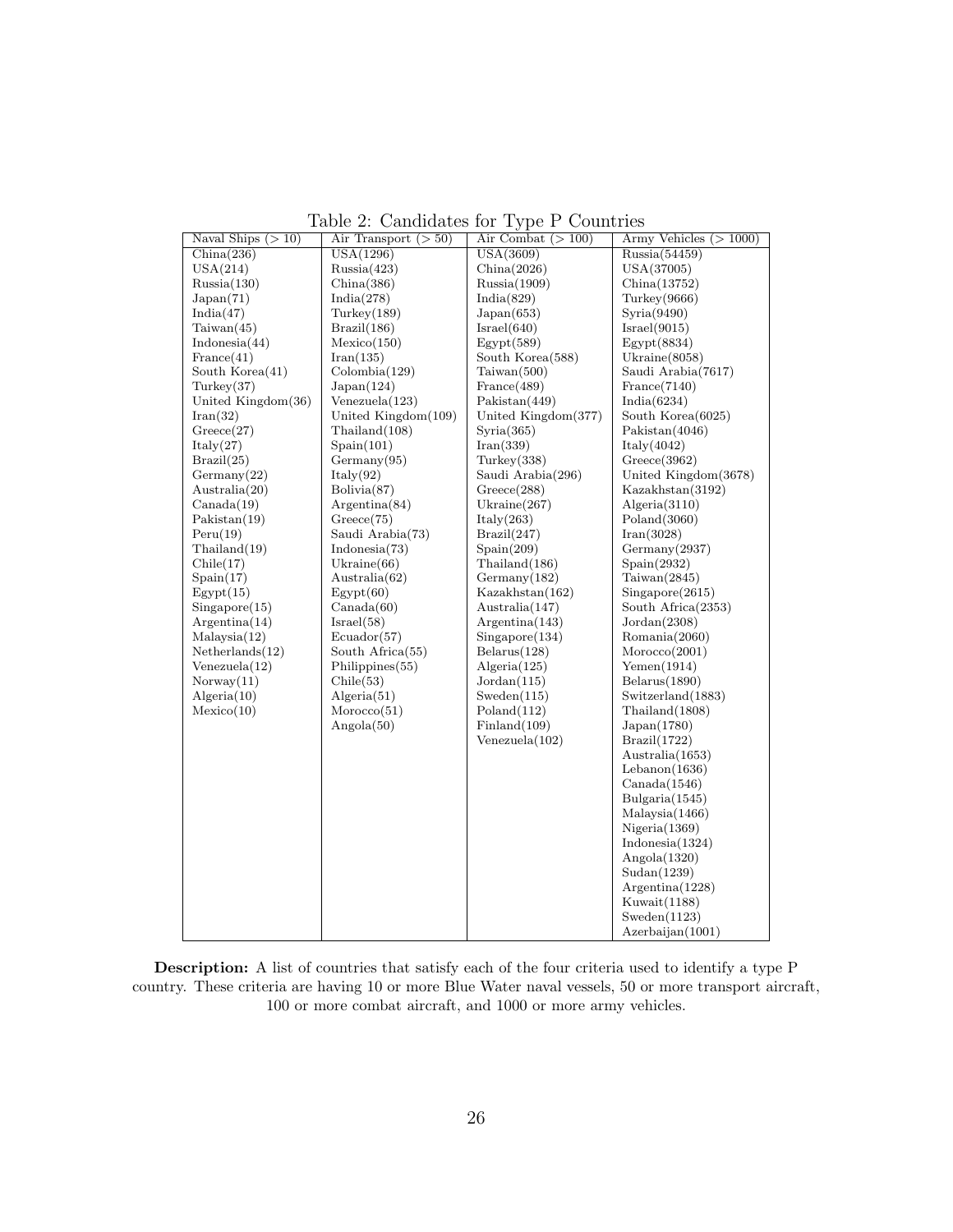| Table 2: Candidates for Type P Countries |  |  |
|------------------------------------------|--|--|
|------------------------------------------|--|--|

| Naval Ships $(>10)$ | Air Transport ( $> 50$ )      | Air Combat $(>100)$           | Army Vehicles $(>1000)$ |
|---------------------|-------------------------------|-------------------------------|-------------------------|
| China(236)          | $\overline{\text{USA}(1296)}$ | $\overline{\text{USA}(3609)}$ | Russia(54459)           |
| USA(214)            | Russia(423)                   | China(2026)                   | USA(37005)              |
| Russia(130)         | China(386)                    | Russia(1909)                  | China(13752)            |
| Japan(71)           | India(278)                    | India(829)                    | Turkey $(9666)$         |
| India(47)           | Turkey $(189)$                | Japan(653)                    | Syria(9490)             |
| Taiwan(45)          | Brazil(186)                   | Israel(640)                   | Israel(9015)            |
| Indonesia(44)       | Mexico(150)                   | Egypt(589)                    | Egypt(8834)             |
| France(41)          | Iran(135)                     | South Korea(588)              | Ukraine $(8058)$        |
| South $Korea(41)$   | $\text{Colombia}(129)$        | Taiwan(500)                   | Saudi Arabia(7617)      |
| Turkey(37)          | Japan(124)                    | France(489)                   | France(7140)            |
| United Kingdom(36)  | Venezuela $(123)$             | Pakistan(449)                 | India(6234)             |
| Iran(32)            | United Kingdom(109)           | United Kingdom(377)           | South Korea(6025)       |
| Greeze(27)          | Thailand(108)                 | Syria(365)                    | Pakistan(4046)          |
| Italy(27)           | Spin(101)                     | Iran(339)                     | Italy(4042)             |
| Brazil(25)          | Germany(95)                   | Turkey $(338)$                | Greeze(3962)            |
| Germany(22)         | Italy(92)                     | Saudi Arabia(296)             | United Kingdom(3678)    |
| $A$ ustralia $(20)$ | Bolivia(87)                   | Greeze(288)                   | Kazakhstan(3192)        |
| Canada(19)          | Argentina(84)                 | Ukraine $(267)$               | Algeria(3110)           |
| Pakistan(19)        | Greeze(75)                    | Italy(263)                    | Poland(3060)            |
| Peru(19)            | Saudi Arabia(73)              | Brazil(247)                   | Iran(3028)              |
| Thailand(19)        | Indonesia(73)                 | $\text{Span}(209)$            | Germany(2937)           |
| Chile(17)           | Ukraine $(66)$                | Thailand(186)                 | Span(2932)              |
| Spin(17)            | Australia(62)                 | Germany(182)                  | Taiwan $(2845)$         |
| Egypt(15)           | $E$ gypt $(60)$               | Kazakhstan(162)               | Singapore(2615)         |
| Singapore(15)       | Canada(60)                    | Australia(147)                | South Africa(2353)      |
| Argentina(14)       | Israel(58)                    | Argentina(143)                | Jordan(2308)            |
| Malaysia(12)        | Ecuador(57)                   | Singapore(134)                | Romania(2060)           |
| Netherlands(12)     | South Africa $(55)$           | Belarus(128)                  | $\text{Moreover}(2001)$ |
| Venezuela(12)       | Philippines(55)               | Algeria(125)                  | Yemen(1914)             |
| Norway(11)          | Chile(53)                     | Jordan(115)                   | Belarus(1890)           |
| Algeria(10)         | Algeria(51)                   | Sweden(115)                   | Switzerland(1883)       |
| Mexico(10)          | Moreover(51)                  | Poland(112)                   | Thailand(1808)          |
|                     | Angola(50)                    | Finaland(109)                 | Japan(1780)             |
|                     |                               | Venezuela $(102)$             | Brazil(1722)            |
|                     |                               |                               | Australia(1653)         |
|                     |                               |                               | Lebanon(1636)           |
|                     |                               |                               | Canada(1546)            |
|                     |                               |                               | Bulgaria(1545)          |
|                     |                               |                               | Malaysia(1466)          |
|                     |                               |                               | Nigeria(1369)           |
|                     |                               |                               | Indonesia $(1324)$      |
|                     |                               |                               | Angola(1320)            |
|                     |                               |                               | Sudan(1239)             |
|                     |                               |                               | Argentina(1228)         |
|                     |                               |                               | Kuwait(1188)            |
|                     |                               |                               | Sweden(1123)            |
|                     |                               |                               | Azerbaijan(1001)        |

Description: A list of countries that satisfy each of the four criteria used to identify a type P country. These criteria are having 10 or more Blue Water naval vessels, 50 or more transport aircraft, 100 or more combat aircraft, and 1000 or more army vehicles.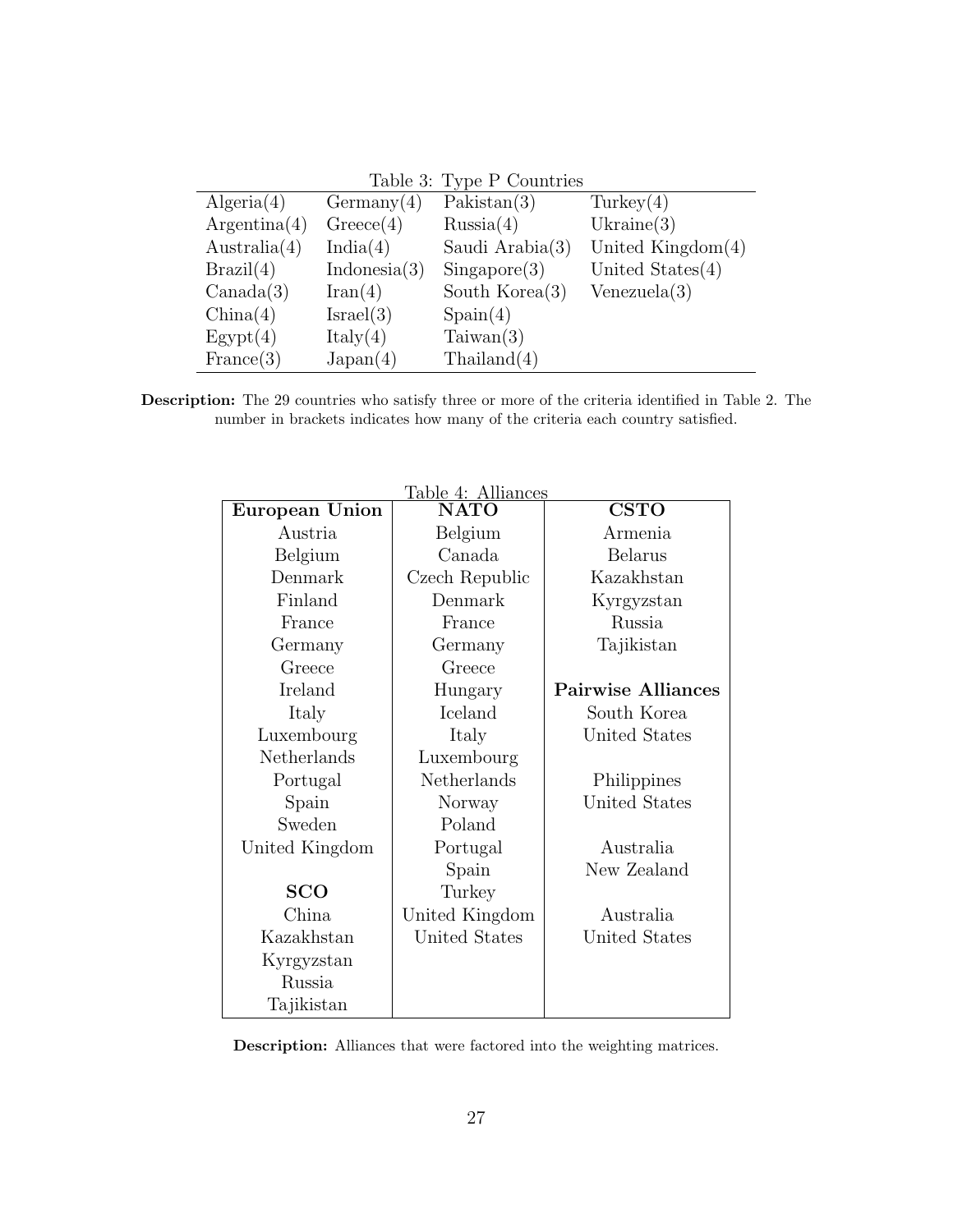| Table 3: Type P Countries |                  |                      |                      |  |  |  |
|---------------------------|------------------|----------------------|----------------------|--|--|--|
| Algeria(4)                | Germany(4)       | Pakistan(3)          | Turkey(4)            |  |  |  |
| Argentina(4)              | Greeze(4)        | Russia(4)            | Ukraine $(3)$        |  |  |  |
| $A$ ustralia $(4)$        | India(4)         | Saudi Arabia $(3)$   | United Kingdom $(4)$ |  |  |  |
| Brazil(4)                 | Indonesia(3)     | Singapore(3)         | United States $(4)$  |  |  |  |
| Canada(3)                 | $\text{Iran}(4)$ | South $Korea(3)$     | Venezuela(3)         |  |  |  |
| China(4)                  | Israel(3)        | Spin(4)              |                      |  |  |  |
| Egypt(4)                  | Italy(4)         | Taiwan(3)            |                      |  |  |  |
| France(3)                 | Japan(4)         | $\text{Thailand}(4)$ |                      |  |  |  |

Description: The 29 countries who satisfy three or more of the criteria identified in Table 2. The number in brackets indicates how many of the criteria each country satisfied.

| Table 4: Alliances    |                |                           |  |  |  |  |
|-----------------------|----------------|---------------------------|--|--|--|--|
| <b>European Union</b> | <b>NATO</b>    | <b>CSTO</b>               |  |  |  |  |
| Austria               | Belgium        | Armenia                   |  |  |  |  |
| Belgium               | Canada         | Belarus                   |  |  |  |  |
| Denmark               | Czech Republic | Kazakhstan                |  |  |  |  |
| Finland               | Denmark        | Kyrgyzstan                |  |  |  |  |
| France                | France         | Russia                    |  |  |  |  |
| Germany               | Germany        | Tajikistan                |  |  |  |  |
| Greece                | Greece         |                           |  |  |  |  |
| Ireland               | Hungary        | <b>Pairwise Alliances</b> |  |  |  |  |
| Italy                 | <b>Iceland</b> | South Korea               |  |  |  |  |
| Luxembourg            | Italy          | United States             |  |  |  |  |
| Netherlands           | Luxembourg     |                           |  |  |  |  |
| Portugal              | Netherlands    | Philippines               |  |  |  |  |
| Spain                 | Norway         | United States             |  |  |  |  |
| Sweden                | Poland         |                           |  |  |  |  |
| United Kingdom        | Portugal       | Australia                 |  |  |  |  |
|                       | Spain          | New Zealand               |  |  |  |  |
| <b>SCO</b>            | Turkey         |                           |  |  |  |  |
| China                 | United Kingdom | Australia                 |  |  |  |  |
| Kazakhstan            | United States  | United States             |  |  |  |  |
| Kyrgyzstan            |                |                           |  |  |  |  |
| Russia                |                |                           |  |  |  |  |
| Tajikistan            |                |                           |  |  |  |  |

Description: Alliances that were factored into the weighting matrices.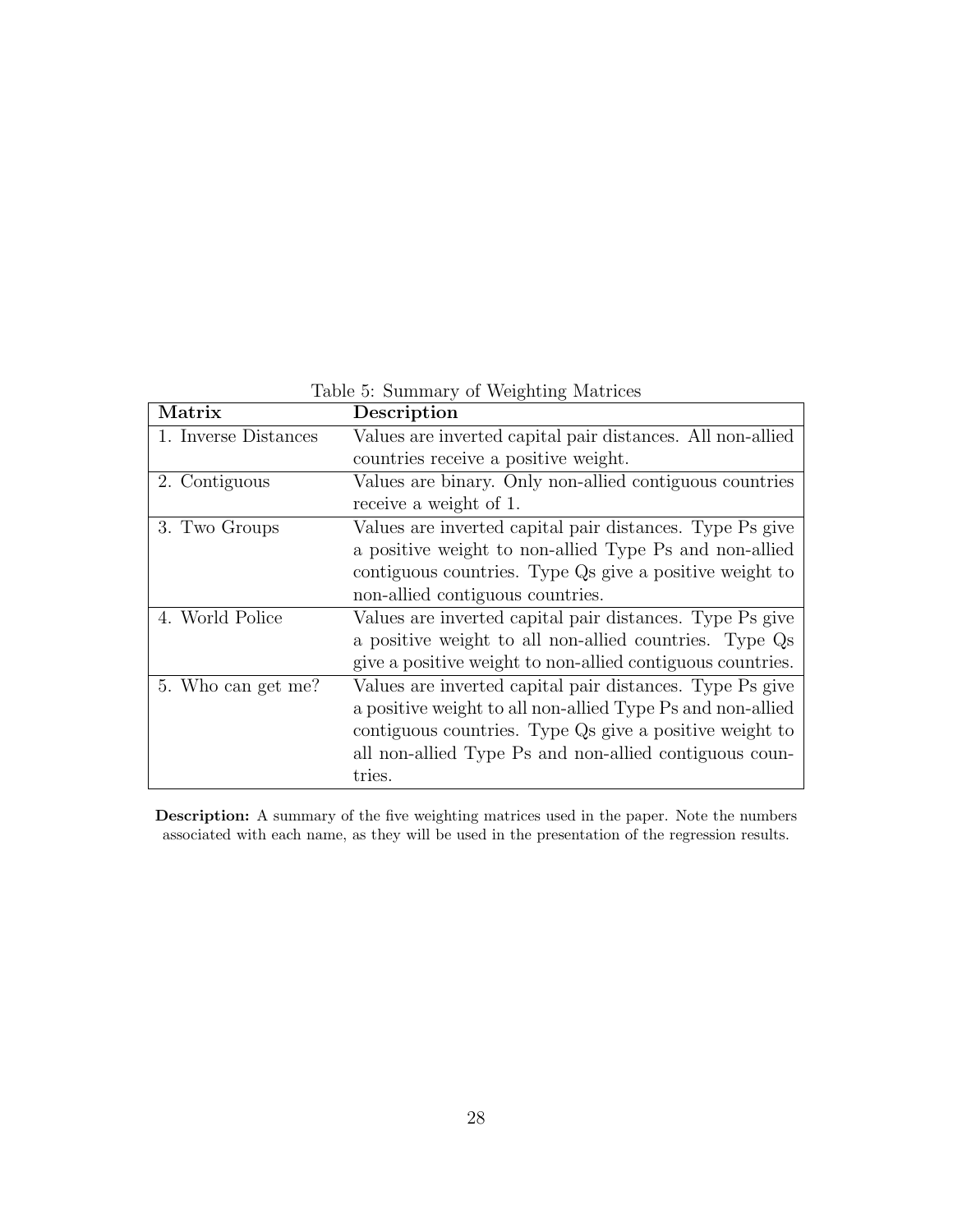| Matrix               | Description                                                |
|----------------------|------------------------------------------------------------|
| 1. Inverse Distances | Values are inverted capital pair distances. All non-allied |
|                      | countries receive a positive weight.                       |
| 2. Contiguous        | Values are binary. Only non-allied contiguous countries    |
|                      | receive a weight of 1.                                     |
| 3. Two Groups        | Values are inverted capital pair distances. Type Ps give   |
|                      | a positive weight to non-allied Type Ps and non-allied     |
|                      | contiguous countries. Type Qs give a positive weight to    |
|                      | non-allied contiguous countries.                           |
| 4. World Police      | Values are inverted capital pair distances. Type Ps give   |
|                      | a positive weight to all non-allied countries. Type Qs     |
|                      | give a positive weight to non-allied contiguous countries. |
| 5. Who can get me?   | Values are inverted capital pair distances. Type Ps give   |
|                      | a positive weight to all non-allied Type Ps and non-allied |
|                      | contiguous countries. Type Qs give a positive weight to    |
|                      | all non-allied Type Ps and non-allied contiguous coun-     |
|                      | tries.                                                     |

Table 5: Summary of Weighting Matrices

Description: A summary of the five weighting matrices used in the paper. Note the numbers associated with each name, as they will be used in the presentation of the regression results.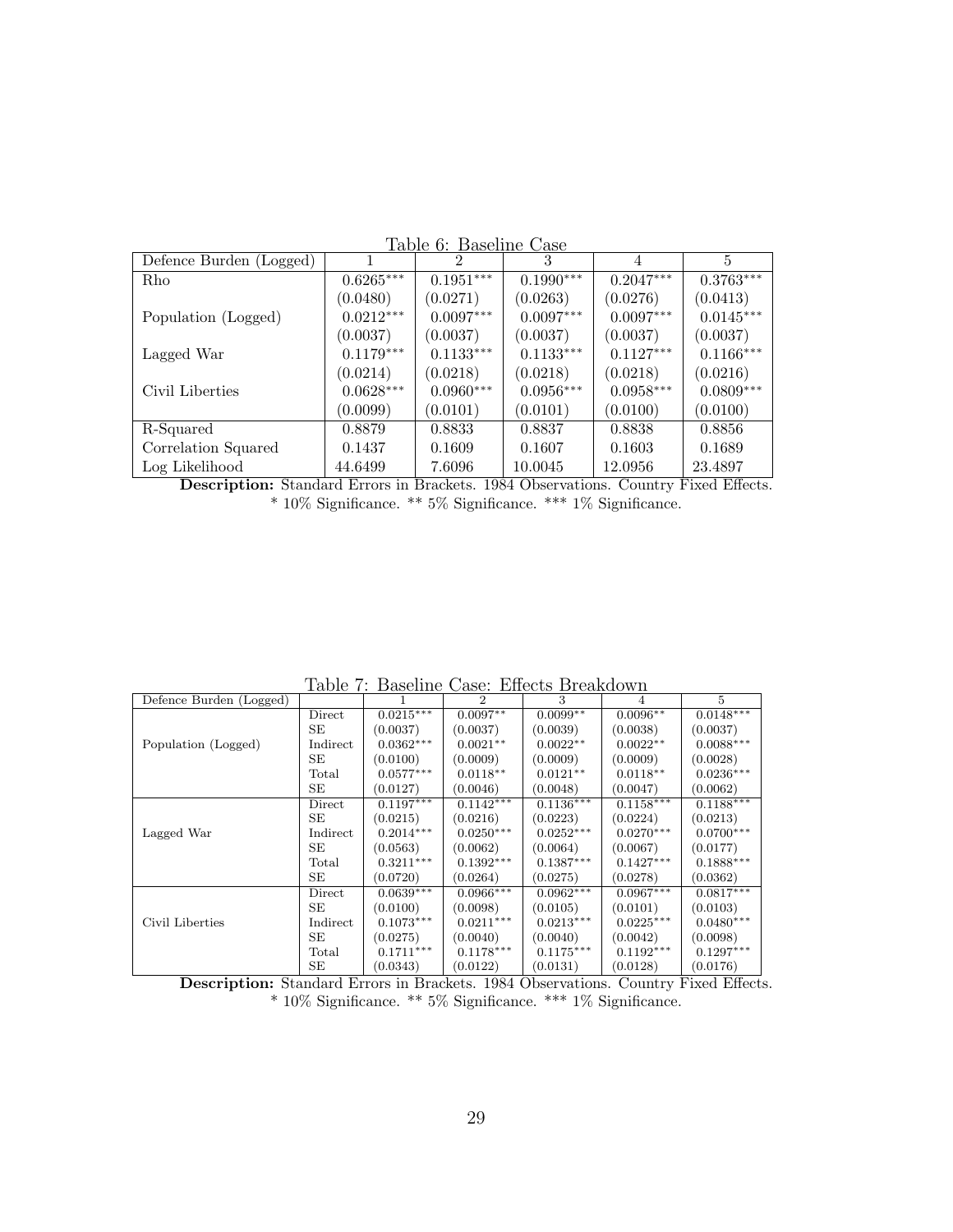| Defence Burden (Logged) |             | таріс от равенне саве<br>2 | 3           | 4           | 5           |
|-------------------------|-------------|----------------------------|-------------|-------------|-------------|
| Rho                     | $0.6265***$ | $0.1951***$                | $0.1990***$ | $0.2047***$ | $0.3763***$ |
|                         | (0.0480)    | (0.0271)                   | (0.0263)    | (0.0276)    | (0.0413)    |
| Population (Logged)     | $0.0212***$ | $0.0097***$                | $0.0097***$ | $0.0097***$ | $0.0145***$ |
|                         | (0.0037)    | (0.0037)                   | (0.0037)    | (0.0037)    | (0.0037)    |
| Lagged War              | $0.1179***$ | $0.1133***$                | $0.1133***$ | $0.1127***$ | $0.1166***$ |
|                         | (0.0214)    | (0.0218)                   | (0.0218)    | (0.0218)    | (0.0216)    |
| Civil Liberties         | $0.0628***$ | $0.0960***$                | $0.0956***$ | $0.0958***$ | $0.0809***$ |
|                         | (0.0099)    | (0.0101)                   | (0.0101)    | (0.0100)    | (0.0100)    |
| R-Squared               | 0.8879      | 0.8833                     | 0.8837      | 0.8838      | 0.8856      |
| Correlation Squared     | 0.1437      | 0.1609                     | 0.1607      | 0.1603      | 0.1689      |
| Log Likelihood          | 44.6499     | 7.6096                     | 10.0045     | 12.0956     | 23.4897     |

Table 6: Baseline Case

Description: Standard Errors in Brackets. 1984 Observations. Country Fixed Effects. \* 10% Significance. \*\* 5% Significance. \*\*\* 1% Significance.

Table 7: Baseline Case: Effects Breakdown

| Defence Burden (Logged) |          |             | 2           | 3           | <u> Broannon II</u><br>4 | 5           |
|-------------------------|----------|-------------|-------------|-------------|--------------------------|-------------|
|                         | Direct   | $0.0215***$ | $0.0097**$  | $0.0099**$  | $0.0096**$               | $0.0148***$ |
|                         | SЕ       | (0.0037)    | (0.0037)    | (0.0039)    | (0.0038)                 | (0.0037)    |
| Population (Logged)     | Indirect | $0.0362***$ | $0.0021**$  | $0.0022**$  | $0.0022**$               | $0.0088***$ |
|                         | SЕ       | (0.0100)    | (0.0009)    | (0.0009)    | (0.0009)                 | (0.0028)    |
|                         | Total    | $0.0577***$ | $0.0118**$  | $0.0121**$  | $0.0118**$               | $0.0236***$ |
|                         | SЕ       | (0.0127)    | (0.0046)    | (0.0048)    | (0.0047)                 | (0.0062)    |
|                         | Direct   | $0.1197***$ | $0.1142***$ | $0.1136***$ | $0.1158***$              | $0.1188***$ |
|                         | SЕ       | (0.0215)    | (0.0216)    | (0.0223)    | (0.0224)                 | (0.0213)    |
| Lagged War              | Indirect | $0.2014***$ | $0.0250***$ | $0.0252***$ | $0.0270***$              | $0.0700***$ |
|                         | SЕ       | (0.0563)    | (0.0062)    | (0.0064)    | (0.0067)                 | (0.0177)    |
|                         | Total    | $0.3211***$ | $0.1392***$ | $0.1387***$ | $0.1427***$              | $0.1888***$ |
|                         | SЕ       | (0.0720)    | (0.0264)    | (0.0275)    | (0.0278)                 | (0.0362)    |
|                         | Direct   | $0.0639***$ | $0.0966***$ | $0.0962***$ | $0.0967***$              | $0.0817***$ |
|                         | SЕ       | (0.0100)    | (0.0098)    | (0.0105)    | (0.0101)                 | (0.0103)    |
| Civil Liberties         | Indirect | $0.1073***$ | $0.0211***$ | $0.0213***$ | $0.0225***$              | $0.0480***$ |
|                         | SЕ       | (0.0275)    | (0.0040)    | (0.0040)    | (0.0042)                 | (0.0098)    |
|                         | Total    | $0.1711***$ | $0.1178***$ | $0.1175***$ | $0.1192***$              | $0.1297***$ |
|                         | SЕ       | (0.0343)    | (0.0122)    | (0.0131)    | (0.0128)                 | (0.0176)    |

Description: Standard Errors in Brackets. 1984 Observations. Country Fixed Effects.  $^*$  10% Significance.  $^{**}$  5% Significance.  $^{***}$  1% Significance.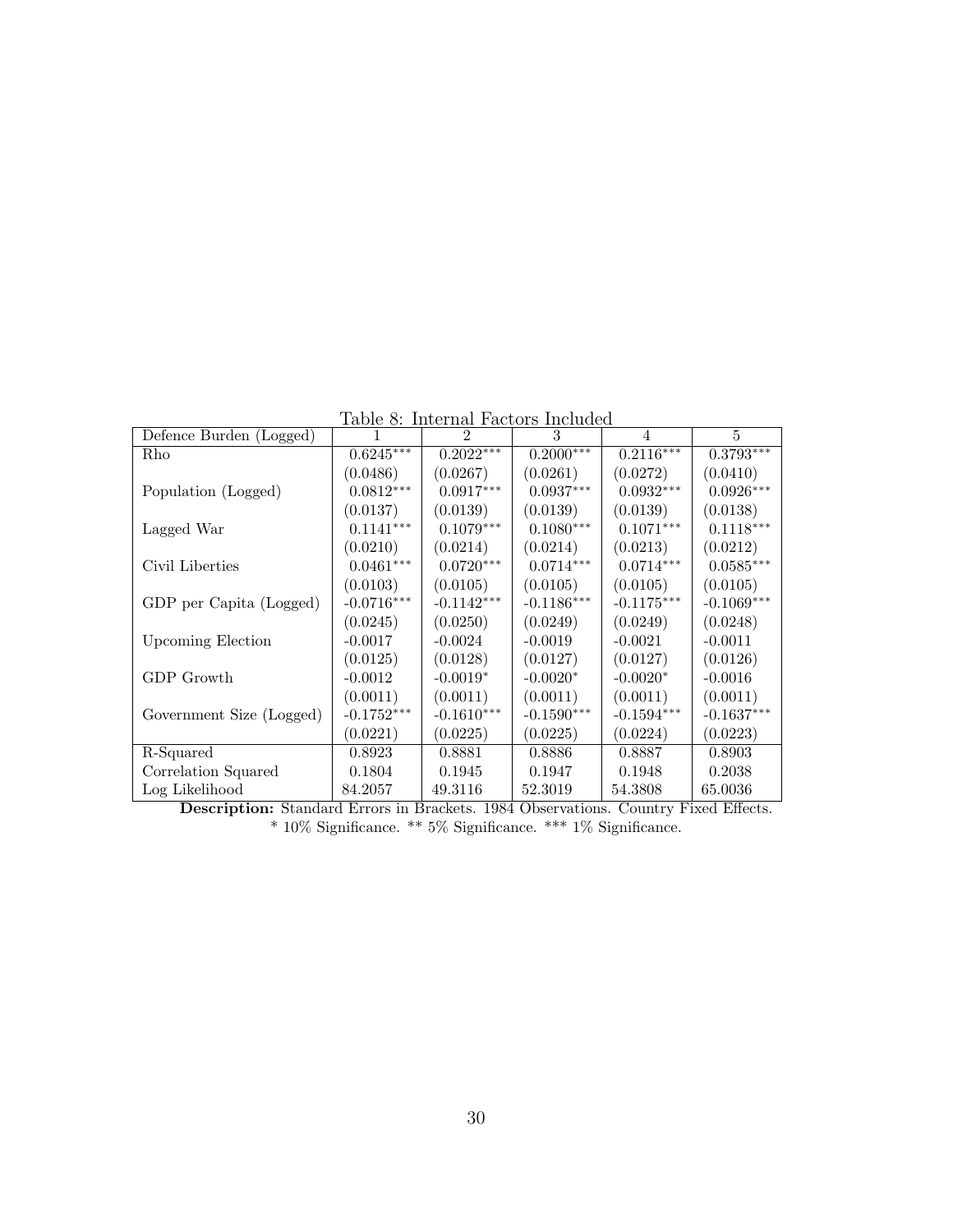| Table 8: Internal Factors Included |                  |                             |              |              |              |  |  |
|------------------------------------|------------------|-----------------------------|--------------|--------------|--------------|--|--|
| Defence Burden (Logged)            |                  | $\mathcal{D}_{\mathcal{L}}$ | 3            | 4            | 5            |  |  |
| Rho                                | $0.6245***$      | $0.2022***$                 | $0.2000***$  | $0.2116***$  | $0.3793***$  |  |  |
|                                    | (0.0486)         | (0.0267)                    | (0.0261)     | (0.0272)     | (0.0410)     |  |  |
| Population (Logged)                | $0.0812^{***}\,$ | $0.0917***$                 | $0.0937***$  | $0.0932***$  | $0.0926***$  |  |  |
|                                    | (0.0137)         | (0.0139)                    | (0.0139)     | (0.0139)     | (0.0138)     |  |  |
| Lagged War                         | $0.1141***$      | $0.1079***$                 | $0.1080***$  | $0.1071***$  | $0.1118***$  |  |  |
|                                    | (0.0210)         | (0.0214)                    | (0.0214)     | (0.0213)     | (0.0212)     |  |  |
| Civil Liberties                    | $0.0461***$      | $0.0720***$                 | $0.0714***$  | $0.0714***$  | $0.0585***$  |  |  |
|                                    | (0.0103)         | (0.0105)                    | (0.0105)     | (0.0105)     | (0.0105)     |  |  |
| GDP per Capita (Logged)            | $-0.0716***$     | $-0.1142***$                | $-0.1186***$ | $-0.1175***$ | $-0.1069***$ |  |  |
|                                    | (0.0245)         | (0.0250)                    | (0.0249)     | (0.0249)     | (0.0248)     |  |  |
| <b>Upcoming Election</b>           | $-0.0017$        | $-0.0024$                   | $-0.0019$    | $-0.0021$    | $-0.0011$    |  |  |
|                                    | (0.0125)         | (0.0128)                    | (0.0127)     | (0.0127)     | (0.0126)     |  |  |
| GDP Growth                         | $-0.0012$        | $-0.0019*$                  | $-0.0020*$   | $-0.0020*$   | $-0.0016$    |  |  |
|                                    | (0.0011)         | (0.0011)                    | (0.0011)     | (0.0011)     | (0.0011)     |  |  |
| Government Size (Logged)           | $-0.1752***$     | $-0.1610***$                | $-0.1590***$ | $-0.1594***$ | $-0.1637***$ |  |  |
|                                    | (0.0221)         | (0.0225)                    | (0.0225)     | (0.0224)     | (0.0223)     |  |  |
| R-Squared                          | 0.8923           | 0.8881                      | 0.8886       | 0.8887       | 0.8903       |  |  |
| Correlation Squared                | 0.1804           | 0.1945                      | 0.1947       | 0.1948       | 0.2038       |  |  |
| Log Likelihood                     | 84.2057          | 49.3116                     | 52.3019      | 54.3808      | 65.0036      |  |  |

Table 8: Internal Factors Included

Description: Standard Errors in Brackets. 1984 Observations. Country Fixed Effects. \* 10% Significance. \*\* 5% Significance. \*\*\* 1% Significance.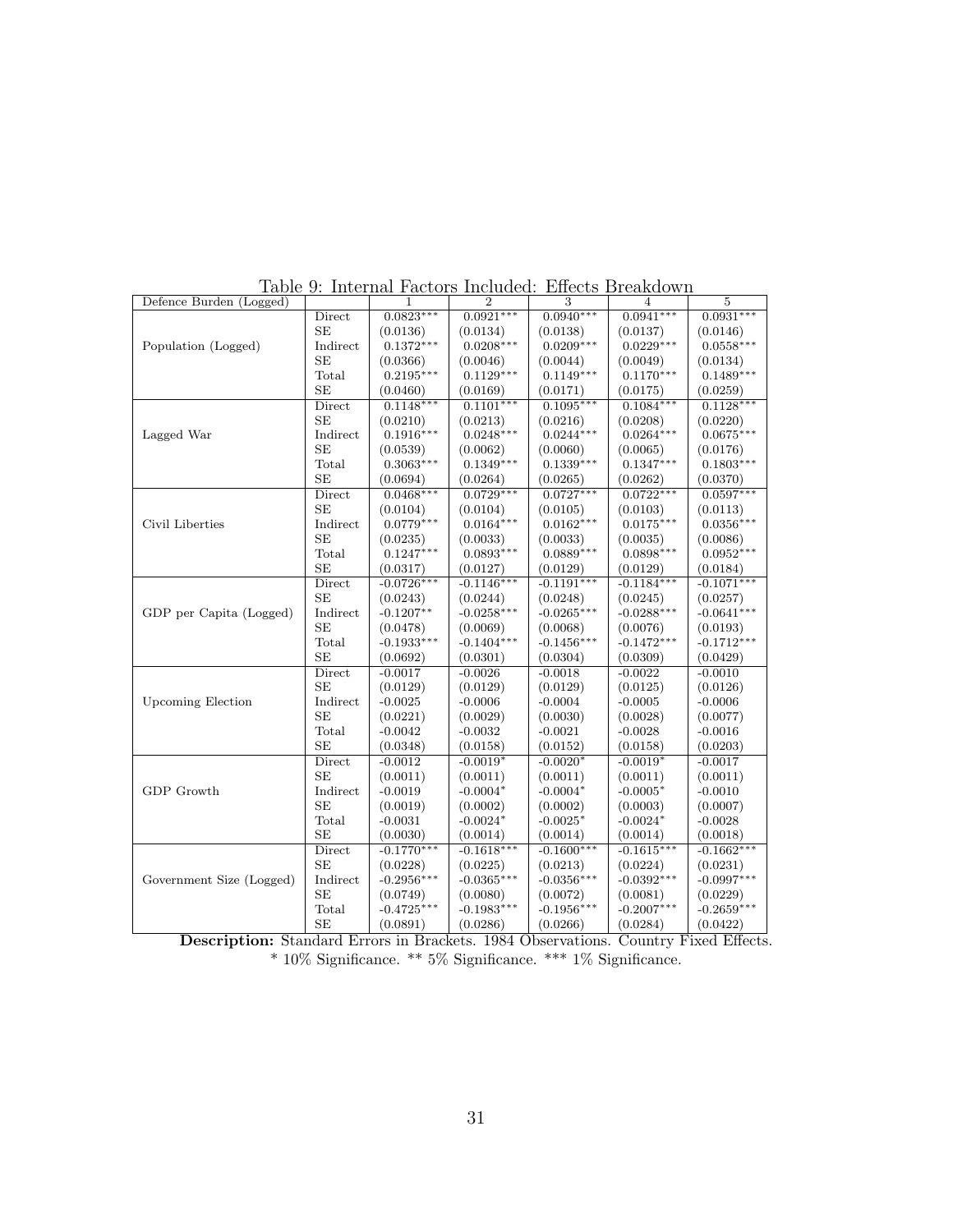| Defence Burden (Logged)  |                                 | 1            | $\overline{2}$ | $\overline{3}$ | $\overline{4}$ | $\overline{5}$ |
|--------------------------|---------------------------------|--------------|----------------|----------------|----------------|----------------|
|                          | Direct                          | $0.0823***$  | $0.0921***$    | $0.0940***$    | $0.0941***$    | $0.0931***$    |
|                          | <b>SE</b>                       | (0.0136)     | (0.0134)       | (0.0138)       | (0.0137)       | (0.0146)       |
| Population (Logged)      | Indirect                        | $0.1372***$  | $0.0208***$    | $0.0209***$    | $0.0229***$    | $0.0558***$    |
|                          | <b>SE</b>                       | (0.0366)     | (0.0046)       | (0.0044)       | (0.0049)       | (0.0134)       |
|                          | Total                           | $0.2195***$  | $0.1129***$    | $0.1149***$    | $0.1170***$    | $0.1489***$    |
|                          | SE                              | (0.0460)     | (0.0169)       | (0.0171)       | (0.0175)       | (0.0259)       |
|                          | Direct                          | $0.1148***$  | $0.1101***$    | $0.1095***$    | $0.1084***$    | $0.1128***$    |
|                          | SE                              | (0.0210)     | (0.0213)       | (0.0216)       | (0.0208)       | (0.0220)       |
| Lagged War               | Indirect                        | $0.1916***$  | $0.0248***$    | $0.0244***$    | $0.0264***$    | $0.0675***$    |
|                          | SE                              | (0.0539)     | (0.0062)       | (0.0060)       | (0.0065)       | (0.0176)       |
|                          | Total                           | $0.3063***$  | $0.1349***$    | $0.1339***$    | $0.1347***$    | $0.1803***$    |
|                          | SE                              | (0.0694)     | (0.0264)       | (0.0265)       | (0.0262)       | (0.0370)       |
|                          | Direct                          | $0.0468***$  | $0.0729***$    | $0.0727***$    | $0.0722***$    | $0.0597***$    |
|                          | SE                              | (0.0104)     | (0.0104)       | (0.0105)       | (0.0103)       | (0.0113)       |
| Civil Liberties          | Indirect                        | $0.0779***$  | $0.0164***$    | $0.0162***$    | $0.0175***$    | $0.0356***$    |
|                          | SE                              | (0.0235)     | (0.0033)       | (0.0033)       | (0.0035)       | (0.0086)       |
|                          | Total                           | $0.1247***$  | $0.0893***$    | $0.0889***$    | $0.0898***$    | $0.0952***$    |
|                          | SE                              | (0.0317)     | (0.0127)       | (0.0129)       | (0.0129)       | (0.0184)       |
|                          | Direct                          | $-0.0726***$ | $-0.1146***$   | $-0.1191***$   | $-0.1184***$   | $-0.1071***$   |
|                          | SE                              | (0.0243)     | (0.0244)       | (0.0248)       | (0.0245)       | (0.0257)       |
| GDP per Capita (Logged)  | Indirect                        | $-0.1207**$  | $-0.0258***$   | $-0.0265***$   | $-0.0288***$   | $-0.0641***$   |
|                          | SE                              | (0.0478)     | (0.0069)       | (0.0068)       | (0.0076)       | (0.0193)       |
|                          | $\operatorname{\mathsf{Total}}$ | $-0.1933***$ | $-0.1404***$   | $-0.1456***$   | $-0.1472***$   | $-0.1712***$   |
|                          | <b>SE</b>                       | (0.0692)     | (0.0301)       | (0.0304)       | (0.0309)       | (0.0429)       |
|                          | Direct                          | $-0.0017$    | $-0.0026$      | $-0.0018$      | $-0.0022$      | $-0.0010$      |
|                          | SE                              | (0.0129)     | (0.0129)       | (0.0129)       | (0.0125)       | (0.0126)       |
| <b>Upcoming Election</b> | Indirect                        | $-0.0025$    | $-0.0006$      | $-0.0004$      | $-0.0005$      | $-0.0006$      |
|                          | <b>SE</b>                       | (0.0221)     | (0.0029)       | (0.0030)       | (0.0028)       | (0.0077)       |
|                          | Total                           | $-0.0042$    | $-0.0032$      | $-0.0021$      | $-0.0028$      | $-0.0016$      |
|                          | SE                              | (0.0348)     | (0.0158)       | (0.0152)       | (0.0158)       | (0.0203)       |
|                          | Direct                          | $-0.0012$    | $-0.0019*$     | $-0.0020*$     | $-0.0019*$     | $-0.0017$      |
|                          | <b>SE</b>                       | (0.0011)     | (0.0011)       | (0.0011)       | (0.0011)       | (0.0011)       |
| GDP Growth               | Indirect                        | $-0.0019$    | $-0.0004*$     | $-0.0004*$     | $-0.0005*$     | $-0.0010$      |
|                          | SE                              | (0.0019)     | (0.0002)       | (0.0002)       | (0.0003)       | (0.0007)       |
|                          | Total                           | $-0.0031$    | $-0.0024*$     | $-0.0025*$     | $-0.0024*$     | $-0.0028$      |
|                          | <b>SE</b>                       | (0.0030)     | (0.0014)       | (0.0014)       | (0.0014)       | (0.0018)       |
|                          | Direct                          | $-0.1770***$ | $-0.1618***$   | $-0.1600***$   | $-0.1615***$   | $-0.1662***$   |
|                          | SE                              | (0.0228)     | (0.0225)       | (0.0213)       | (0.0224)       | (0.0231)       |
| Government Size (Logged) | Indirect                        | $-0.2956***$ | $-0.0365***$   | $-0.0356***$   | $-0.0392***$   | $-0.0997***$   |
|                          | <b>SE</b>                       | (0.0749)     | (0.0080)       | (0.0072)       | (0.0081)       | (0.0229)       |
|                          | Total                           | $-0.4725***$ | $-0.1983***$   | $-0.1956***$   | $-0.2007***$   | $-0.2659***$   |
|                          | <b>SE</b>                       | (0.0891)     | (0.0286)       | (0.0266)       | (0.0284)       | (0.0422)       |

Table 9: Internal Factors Included: Effects Breakdown

Description: Standard Errors in Brackets. 1984 Observations. Country Fixed Effects. \* 10% Significance. \*\* 5% Significance. \*\*\* 1% Significance.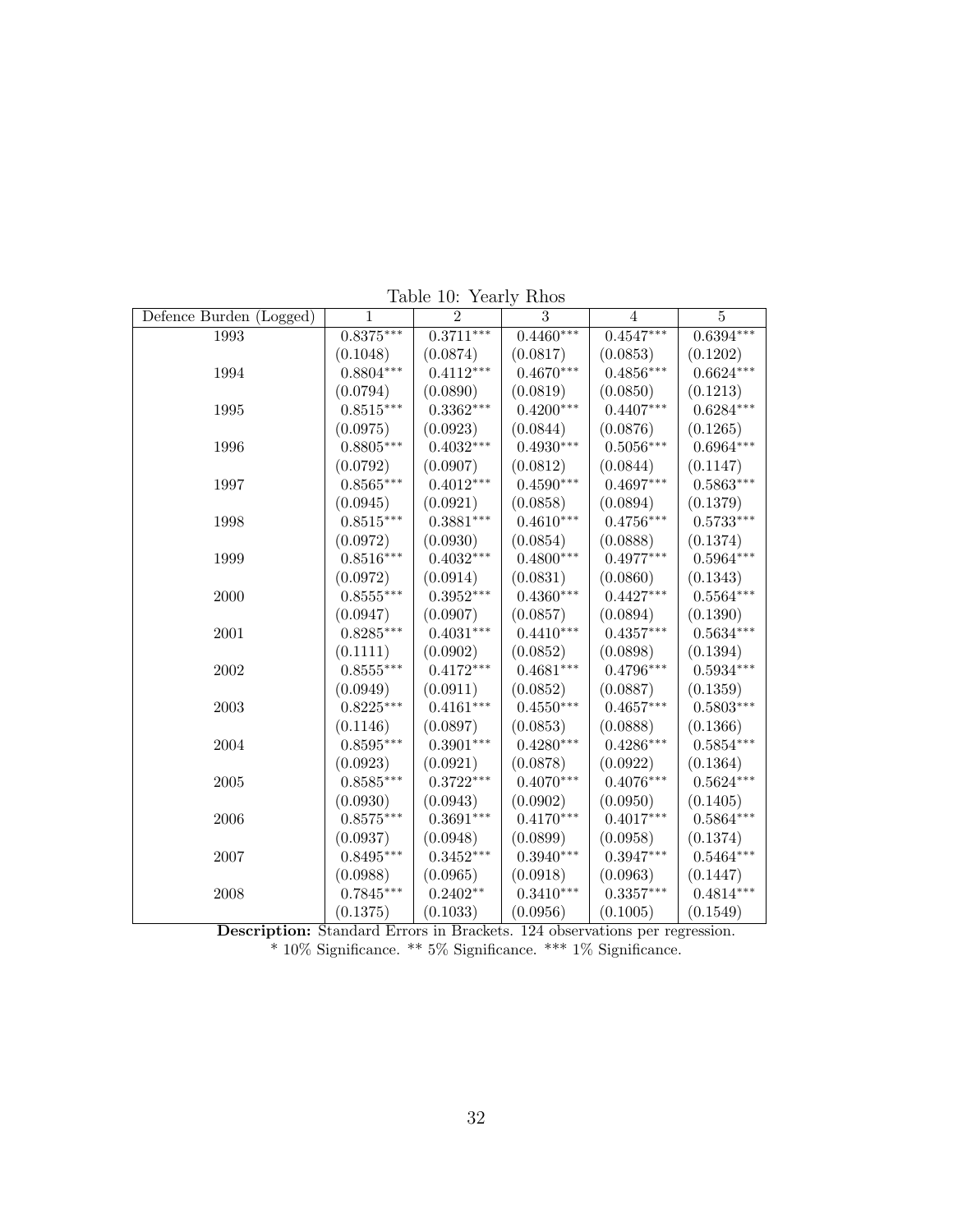| Defence Burden (Logged) | 1                       | $\overline{2}$ | 3           | 4           | 5           |
|-------------------------|-------------------------|----------------|-------------|-------------|-------------|
| 1993                    | $0.8375***$             | $0.3711***$    | $0.4460***$ | $0.4547***$ | $0.6394***$ |
|                         | (0.1048)                | (0.0874)       | (0.0817)    | (0.0853)    | (0.1202)    |
| 1994                    | $0.8804***$             | $0.4112***$    | $0.4670***$ | $0.4856***$ | $0.6624***$ |
|                         | (0.0794)                | (0.0890)       | (0.0819)    | (0.0850)    | (0.1213)    |
| 1995                    | $0.8515***$             | $0.3362***$    | $0.4200***$ | $0.4407***$ | $0.6284***$ |
|                         | (0.0975)                | (0.0923)       | (0.0844)    | (0.0876)    | (0.1265)    |
| 1996                    | $0.8805^{\ast\ast\ast}$ | $0.4032***$    | $0.4930***$ | $0.5056***$ | $0.6964***$ |
|                         | (0.0792)                | (0.0907)       | (0.0812)    | (0.0844)    | (0.1147)    |
| 1997                    | $0.8565^{\ast\ast\ast}$ | $0.4012***$    | $0.4590***$ | $0.4697***$ | $0.5863***$ |
|                         | (0.0945)                | (0.0921)       | (0.0858)    | (0.0894)    | (0.1379)    |
| 1998                    | $0.8515***$             | $0.3881***$    | $0.4610***$ | $0.4756***$ | $0.5733***$ |
|                         | (0.0972)                | (0.0930)       | (0.0854)    | (0.0888)    | (0.1374)    |
| 1999                    | $0.8516***$             | $0.4032***$    | $0.4800***$ | $0.4977***$ | $0.5964***$ |
|                         | (0.0972)                | (0.0914)       | (0.0831)    | (0.0860)    | (0.1343)    |
| 2000                    | $0.8555^{***}\,$        | $0.3952***$    | $0.4360***$ | $0.4427***$ | $0.5564***$ |
|                         | (0.0947)                | (0.0907)       | (0.0857)    | (0.0894)    | (0.1390)    |
| 2001                    | $0.8285^{\ast\ast\ast}$ | $0.4031***$    | $0.4410***$ | $0.4357***$ | $0.5634***$ |
|                         | (0.1111)                | (0.0902)       | (0.0852)    | (0.0898)    | (0.1394)    |
| 2002                    | $0.8555***$             | $0.4172***$    | $0.4681***$ | $0.4796***$ | $0.5934***$ |
|                         | (0.0949)                | (0.0911)       | (0.0852)    | (0.0887)    | (0.1359)    |
| 2003                    | $0.8225^{\ast\ast\ast}$ | $0.4161***$    | $0.4550***$ | $0.4657***$ | $0.5803***$ |
|                         | (0.1146)                | (0.0897)       | (0.0853)    | (0.0888)    | (0.1366)    |
| 2004                    | $0.8595^{\ast\ast\ast}$ | $0.3901***$    | $0.4280***$ | $0.4286***$ | $0.5854***$ |
|                         | (0.0923)                | (0.0921)       | (0.0878)    | (0.0922)    | (0.1364)    |
| 2005                    | $0.8585^{\ast\ast\ast}$ | $0.3722***$    | $0.4070***$ | $0.4076***$ | $0.5624***$ |
|                         | (0.0930)                | (0.0943)       | (0.0902)    | (0.0950)    | (0.1405)    |
| 2006                    | $0.8575***$             | $0.3691***$    | $0.4170***$ | $0.4017***$ | $0.5864***$ |
|                         | (0.0937)                | (0.0948)       | (0.0899)    | (0.0958)    | (0.1374)    |
| 2007                    | $0.8495^{\ast\ast\ast}$ | $0.3452***$    | $0.3940***$ | $0.3947***$ | $0.5464***$ |
|                         | (0.0988)                | (0.0965)       | (0.0918)    | (0.0963)    | (0.1447)    |
| 2008                    | $0.7845***$             | $0.2402**$     | $0.3410***$ | $0.3357***$ | $0.4814***$ |
|                         | (0.1375)                | (0.1033)       | (0.0956)    | (0.1005)    | (0.1549)    |

Table 10: Yearly Rhos

Description: Standard Errors in Brackets. 124 observations per regression. \* 10% Significance. \*\* 5% Significance. \*\*\* 1% Significance.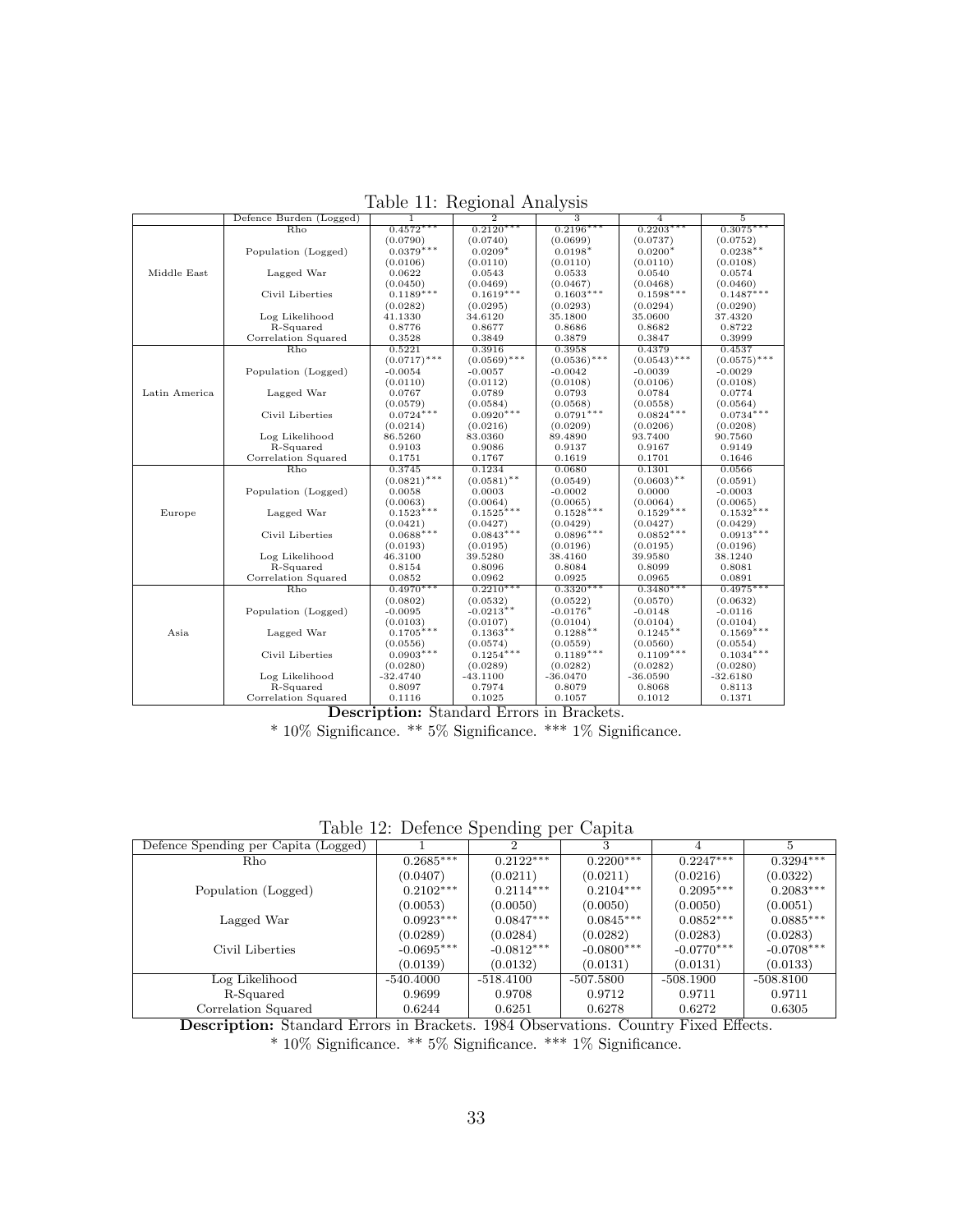|                                                  | Defence Burden (Logged) | 1              | $\overline{2}$ | 3              | 4              | 5              |
|--------------------------------------------------|-------------------------|----------------|----------------|----------------|----------------|----------------|
|                                                  | Rho                     | $0.4572***$    | $0.2120***$    | $0.2196***$    | $0.2203***$    | $0.3075***$    |
|                                                  |                         | (0.0790)       | (0.0740)       | (0.0699)       | (0.0737)       | (0.0752)       |
|                                                  | Population (Logged)     | $0.0379***$    | $0.0209*$      | $0.0198*$      | $0.0200*$      | $0.0238**$     |
|                                                  |                         | (0.0106)       | (0.0110)       | (0.0110)       | (0.0110)       | (0.0108)       |
| Middle East                                      | Lagged War              | 0.0622         | 0.0543         | 0.0533         | 0.0540         | 0.0574         |
|                                                  |                         | (0.0450)       | (0.0469)       | (0.0467)       | (0.0468)       | (0.0460)       |
|                                                  | Civil Liberties         | $0.1189***$    | $0.1619***$    | $0.1603***$    | $0.1598***$    | $0.1487***$    |
|                                                  |                         | (0.0282)       | (0.0295)       | (0.0293)       | (0.0294)       | (0.0290)       |
|                                                  | Log Likelihood          | 41.1330        | 34.6120        | 35.1800        | 35.0600        | 37.4320        |
|                                                  | R-Squared               | 0.8776         | 0.8677         | 0.8686         | 0.8682         | 0.8722         |
|                                                  | Correlation Squared     | 0.3528         | 0.3849         | 0.3879         | 0.3847         | 0.3999         |
|                                                  | Rho                     | 0.5221         | 0.3916         | 0.3958         | 0.4379         | 0.4537         |
|                                                  |                         | $(0.0717)$ *** | $(0.0569)$ *** | $(0.0536)$ *** | $(0.0543)$ *** | $(0.0575)$ *** |
|                                                  | Population (Logged)     | $-0.0054$      | $-0.0057$      | $-0.0042$      | $-0.0039$      | $-0.0029$      |
|                                                  |                         | (0.0110)       | (0.0112)       | (0.0108)       | (0.0106)       | (0.0108)       |
| Latin America                                    | Lagged War              | 0.0767         | 0.0789         | 0.0793         | 0.0784         | 0.0774         |
|                                                  |                         | (0.0579)       | (0.0584)       | (0.0568)       | (0.0558)       | (0.0564)       |
|                                                  | Civil Liberties         | $0.0724***$    | $0.0920***$    | $0.0791***$    | $0.0824***$    | $0.0734***$    |
|                                                  |                         | (0.0214)       | (0.0216)       | (0.0209)       | (0.0206)       | (0.0208)       |
|                                                  | Log Likelihood          | 86.5260        | 83.0360        | 89.4890        | 93.7400        | 90.7560        |
|                                                  | R-Squared               | 0.9103         | 0.9086         | 0.9137         | 0.9167         | 0.9149         |
|                                                  | Correlation Squared     | 0.1751         | 0.1767         | 0.1619         | 0.1701         | 0.1646         |
|                                                  | Rho                     | 0.3745         | 0.1234         | 0.0680         | 0.1301         | 0.0566         |
|                                                  |                         | $(0.0821)$ *** | $(0.0581)$ **  | (0.0549)       | $(0.0603)$ **  | (0.0591)       |
|                                                  | Population (Logged)     | 0.0058         | 0.0003         | $-0.0002$      | 0.0000         | $-0.0003$      |
|                                                  |                         | (0.0063)       | (0.0064)       | (0.0065)       | (0.0064)       | (0.0065)       |
| Europe                                           | Lagged War              | $0.1523***$    | $0.1525*$      | $0.1528***$    | $0.1529***$    | $0.1532***$    |
|                                                  |                         | (0.0421)       | (0.0427)       | (0.0429)       | (0.0427)       | (0.0429)       |
|                                                  | Civil Liberties         | $0.0688***$    | $0.0843***$    | $0.0896***$    | $0.0852***$    | $0.0913***$    |
|                                                  |                         | (0.0193)       | (0.0195)       | (0.0196)       | (0.0195)       | (0.0196)       |
|                                                  | Log Likelihood          | 46.3100        | 39.5280        | 38.4160        | 39.9580        | 38.1240        |
|                                                  | R-Squared               | 0.8154         | 0.8096         | 0.8084         | 0.8099         | 0.8081         |
|                                                  | Correlation Squared     | 0.0852         | 0.0962         | 0.0925         | 0.0965         | 0.0891         |
|                                                  | Rho                     | $0.4970***$    | $0.2210***$    | $0.3320***$    | $0.3480***$    | $0.4975***$    |
|                                                  |                         | (0.0802)       | (0.0532)       | (0.0522)       | (0.0570)       | (0.0632)       |
|                                                  | Population (Logged)     | $-0.0095$      | $-0.0213**$    | $-0.0176*$     | $-0.0148$      | $-0.0116$      |
|                                                  |                         | (0.0103)       | (0.0107)       | (0.0104)       | (0.0104)       | (0.0104)       |
| Asia                                             | Lagged War              | $0.1705***$    | $0.1363**$     | $0.1288**$     | $0.1245**$     | $0.1569***$    |
|                                                  |                         | (0.0556)       | (0.0574)       | (0.0559)       | (0.0560)       | (0.0554)       |
|                                                  | Civil Liberties         | $0.0903***$    | $0.1254***$    | $0.1189***$    | $0.1109***$    | $0.1034***$    |
|                                                  |                         | (0.0280)       | (0.0289)       | (0.0282)       | (0.0282)       | (0.0280)       |
|                                                  | Log Likelihood          | $-32.4740$     | $-43.1100$     | $-36.0470$     | $-36.0590$     | $-32.6180$     |
|                                                  | R-Squared               | 0.8097         | 0.7974         | 0.8079         | 0.8068         | 0.8113         |
|                                                  | Correlation Squared     | 0.1116         | 0.1025         | 0.1057         | 0.1012         | 0.1371         |
|                                                  |                         |                |                |                |                |                |
| <b>Description:</b> Standard Errors in Brackets. |                         |                |                |                |                |                |

Table 11: Regional Analysis

\* 10% Significance. \*\* 5% Significance. \*\*\* 1% Significance.

Table 12: Defence Spending per Capita

|                                      |              | ◡              | л.           |              |              |
|--------------------------------------|--------------|----------------|--------------|--------------|--------------|
| Defence Spending per Capita (Logged) |              | $\overline{2}$ | 3            |              | 5.           |
| Rho                                  | $0.2685***$  | $0.2122***$    | $0.2200***$  | $0.2247***$  | $0.3294***$  |
|                                      | (0.0407)     | (0.0211)       | (0.0211)     | (0.0216)     | (0.0322)     |
| Population (Logged)                  | $0.2102***$  | $0.2114***$    | $0.2104***$  | $0.2095***$  | $0.2083***$  |
|                                      | (0.0053)     | (0.0050)       | (0.0050)     | (0.0050)     | (0.0051)     |
| Lagged War                           | $0.0923***$  | $0.0847***$    | $0.0845***$  | $0.0852***$  | $0.0885***$  |
|                                      | (0.0289)     | (0.0284)       | (0.0282)     | (0.0283)     | (0.0283)     |
| Civil Liberties                      | $-0.0695***$ | $-0.0812***$   | $-0.0800***$ | $-0.0770***$ | $-0.0708***$ |
|                                      | (0.0139)     | (0.0132)       | (0.0131)     | (0.0131)     | (0.0133)     |
| Log Likelihood                       | $-540.4000$  | $-518.4100$    | $-507.5800$  | $-508.1900$  | $-508.8100$  |
| R-Squared                            | 0.9699       | 0.9708         | 0.9712       | 0.9711       | 0.9711       |
| Correlation Squared                  | 0.6244       | 0.6251         | 0.6278       | 0.6272       | 0.6305       |

Description: Standard Errors in Brackets. 1984 Observations. Country Fixed Effects.

\* 10% Significance. \*\* 5% Significance. \*\*\* 1% Significance.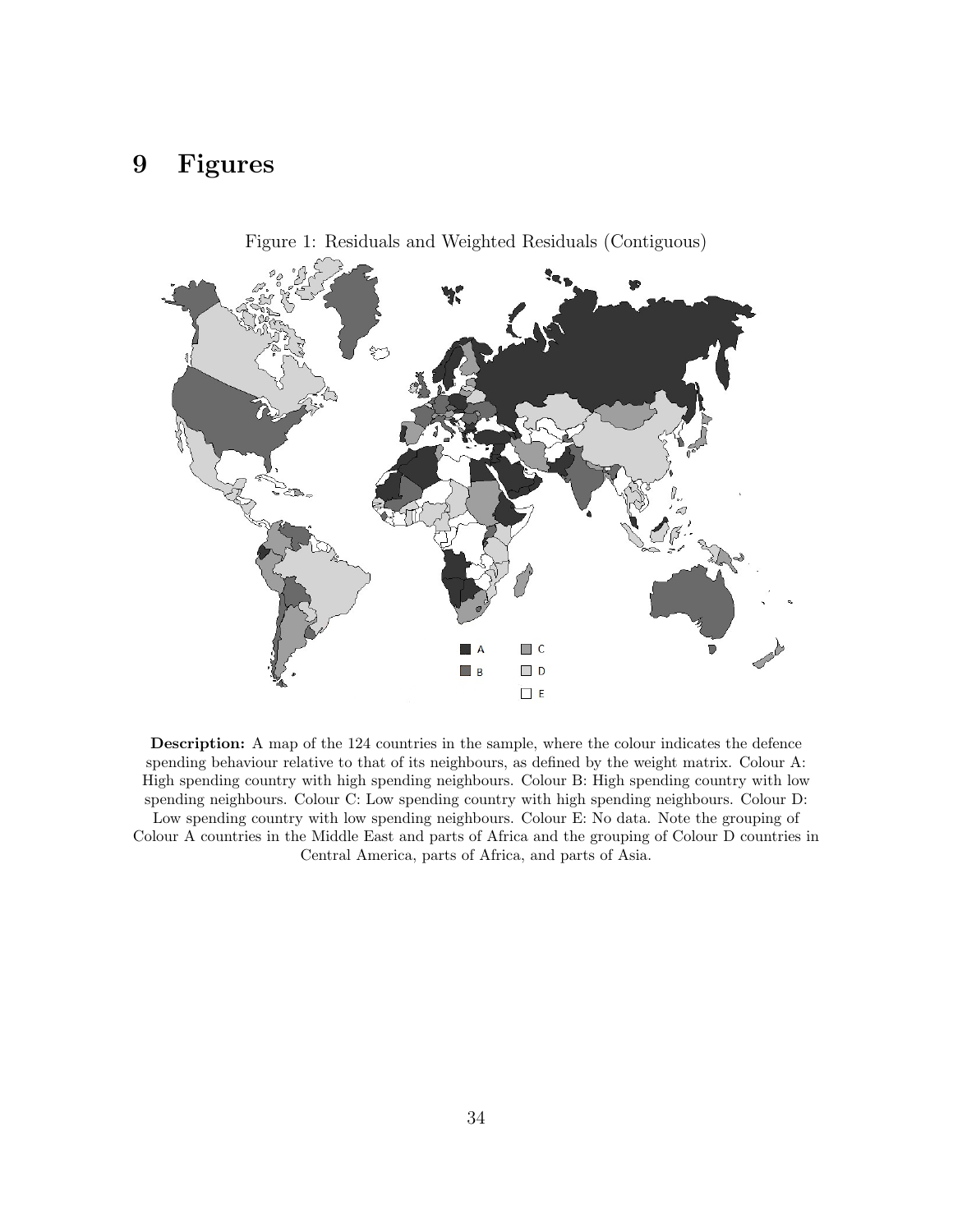### 9 Figures



Figure 1: Residuals and Weighted Residuals (Contiguous)

Description: A map of the 124 countries in the sample, where the colour indicates the defence spending behaviour relative to that of its neighbours, as defined by the weight matrix. Colour A: High spending country with high spending neighbours. Colour B: High spending country with low spending neighbours. Colour C: Low spending country with high spending neighbours. Colour D: Low spending country with low spending neighbours. Colour E: No data. Note the grouping of Colour A countries in the Middle East and parts of Africa and the grouping of Colour D countries in Central America, parts of Africa, and parts of Asia.